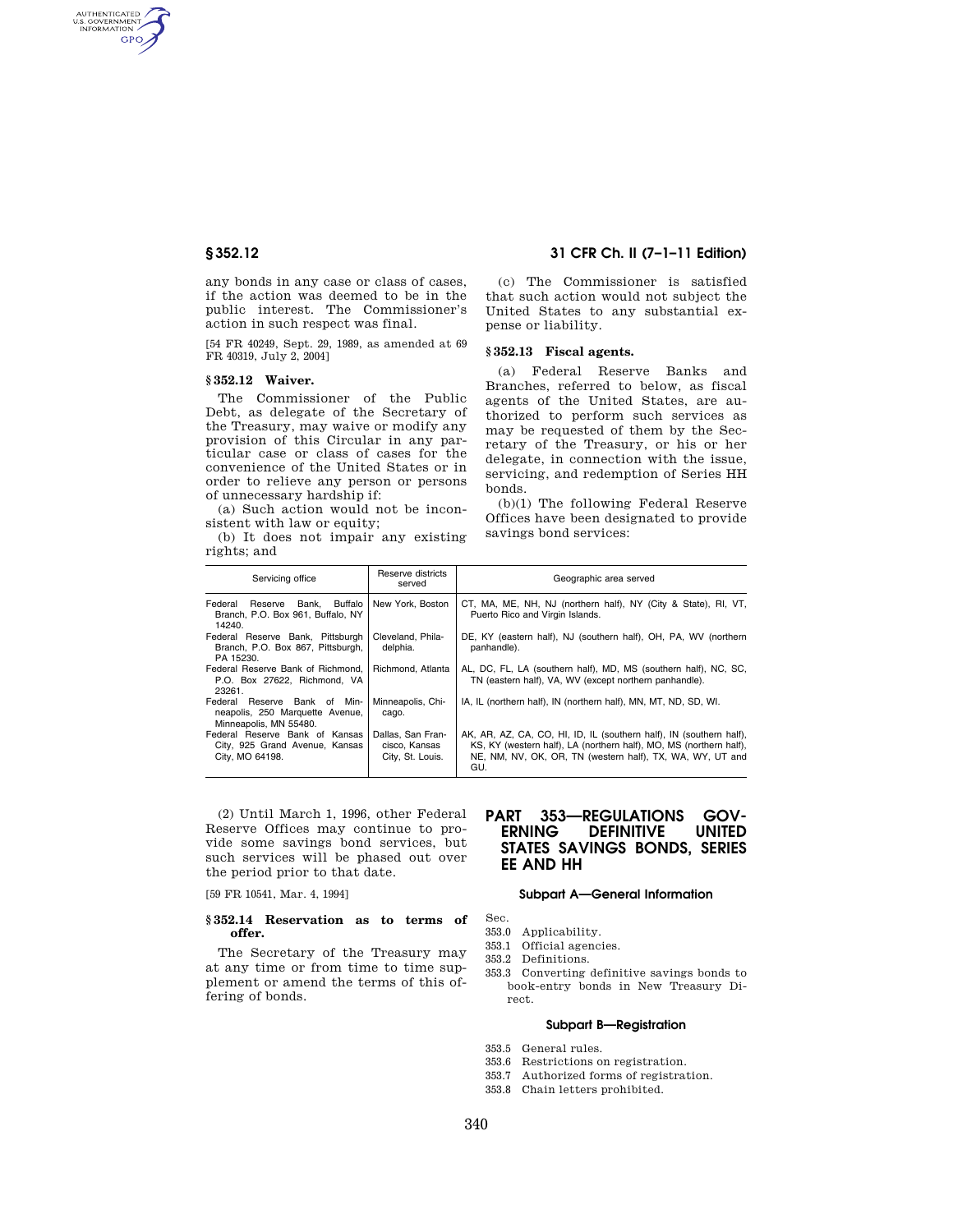AUTHENTICATED<br>U.S. GOVERNMENT<br>INFORMATION **GPO** 

> any bonds in any case or class of cases, if the action was deemed to be in the public interest. The Commissioner's action in such respect was final.

> [54 FR 40249, Sept. 29, 1989, as amended at 69 FR 40319, July 2, 2004]

#### **§ 352.12 Waiver.**

The Commissioner of the Public Debt, as delegate of the Secretary of the Treasury, may waive or modify any provision of this Circular in any particular case or class of cases for the convenience of the United States or in order to relieve any person or persons of unnecessary hardship if:

(a) Such action would not be inconsistent with law or equity;

(b) It does not impair any existing rights; and

## **§ 352.12 31 CFR Ch. II (7–1–11 Edition)**

(c) The Commissioner is satisfied that such action would not subject the United States to any substantial expense or liability.

## **§ 352.13 Fiscal agents.**

(a) Federal Reserve Banks and Branches, referred to below, as fiscal agents of the United States, are authorized to perform such services as may be requested of them by the Secretary of the Treasury, or his or her delegate, in connection with the issue, servicing, and redemption of Series HH bonds.

(b)(1) The following Federal Reserve Offices have been designated to provide savings bond services:

| Servicing office                                                                          | Reserve districts<br>served                            | Geographic area served                                                                                                                                                                                        |
|-------------------------------------------------------------------------------------------|--------------------------------------------------------|---------------------------------------------------------------------------------------------------------------------------------------------------------------------------------------------------------------|
| Federal<br>Reserve Bank, Buffalo<br>Branch, P.O. Box 961, Buffalo, NY<br>14240.           | New York, Boston                                       | CT, MA, ME, NH, NJ (northern half), NY (City & State), RI, VT,<br>Puerto Rico and Virgin Islands.                                                                                                             |
| Federal Reserve Bank, Pittsburgh<br>Branch, P.O. Box 867, Pittsburgh,<br>PA 15230.        | Cleveland, Phila-<br>delphia.                          | DE, KY (eastern half), NJ (southern half), OH, PA, WV (northern<br>panhandle).                                                                                                                                |
| Federal Reserve Bank of Richmond.<br>P.O. Box 27622. Richmond. VA<br>23261.               | Richmond, Atlanta                                      | AL, DC, FL, LA (southern half), MD, MS (southern half), NC, SC,<br>TN (eastern half), VA, WV (except northern panhandle).                                                                                     |
| Federal Reserve Bank of Min-<br>neapolis, 250 Marquette Avenue,<br>Minneapolis, MN 55480. | Minneapolis, Chi-<br>cago.                             | IA, IL (northern half), IN (northern half), MN, MT, ND, SD, WI.                                                                                                                                               |
| Federal Reserve Bank of Kansas<br>City, 925 Grand Avenue, Kansas<br>City, MO 64198.       | Dallas, San Fran-<br>cisco, Kansas<br>City, St. Louis. | AK, AR, AZ, CA, CO, HI, ID, IL (southern half), IN (southern half),<br>KS, KY (western half), LA (northern half), MO, MS (northern half),<br>NE, NM, NV, OK, OR, TN (western half), TX, WA, WY, UT and<br>GU. |

(2) Until March 1, 1996, other Federal Reserve Offices may continue to provide some savings bond services, but such services will be phased out over the period prior to that date.

[59 FR 10541, Mar. 4, 1994]

### **§ 352.14 Reservation as to terms of offer.**

The Secretary of the Treasury may at any time or from time to time supplement or amend the terms of this offering of bonds.

# **PART 353—REGULATIONS GOV-ERNING DEFINITIVE UNITED STATES SAVINGS BONDS, SERIES EE AND HH**

## **Subpart A—General Information**

#### Sec.

- 353.0 Applicability.
- 353.1 Official agencies.
- 353.2 Definitions.
- 353.3 Converting definitive savings bonds to book-entry bonds in New Treasury Direct.

## **Subpart B—Registration**

- 353.5 General rules.
- 353.6 Restrictions on registration.
- 353.7 Authorized forms of registration.
- 353.8 Chain letters prohibited.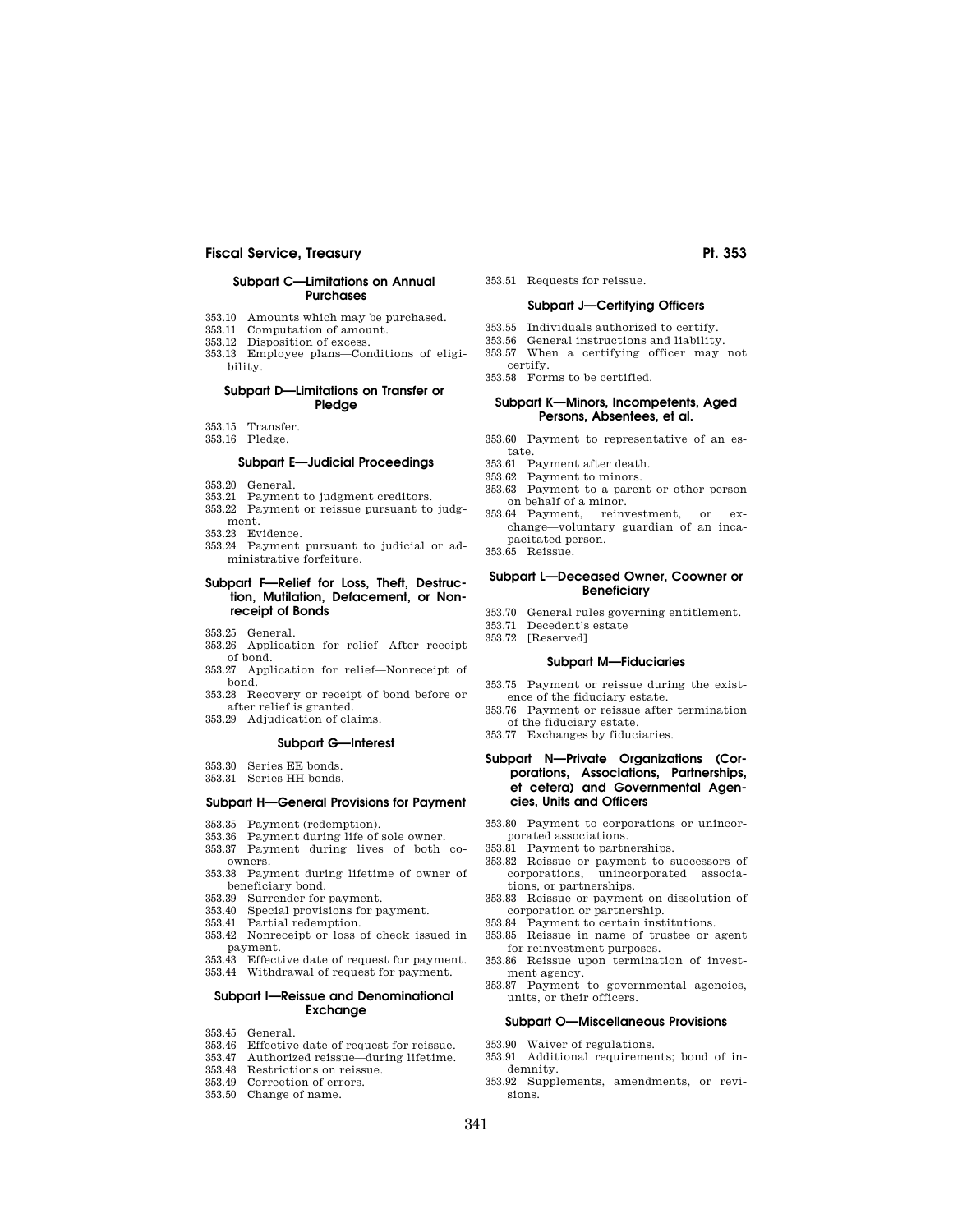# **Fiscal Service, Treasury Pt. 353**

### **Subpart C—Limitations on Annual Purchases**

- 353.10 Amounts which may be purchased.
- 353.11 Computation of amount.
- 353.12 Disposition of excess. 353.13 Employee plans—Conditions of eligi-

## **Subpart D—Limitations on Transfer or Pledge**

- 353.15 Transfer.
- 353.16 Pledge.

bility.

## **Subpart E—Judicial Proceedings**

- 353.20 General.
- 353.21 Payment to judgment creditors.
- 353.22 Payment or reissue pursuant to judg-
- ment.
- 353.23 Evidence.
- 353.24 Payment pursuant to judicial or administrative forfeiture.

## **Subpart F—Relief for Loss, Theft, Destruction, Mutilation, Defacement, or Nonreceipt of Bonds**

- 353.25 General.
- 353.26 Application for relief—After receipt of bond.
- 353.27 Application for relief—Nonreceipt of bond.
- 353.28 Recovery or receipt of bond before or after relief is granted.
- 353.29 Adjudication of claims.

#### **Subpart G—Interest**

- 353.30 Series EE bonds.
- 353.31 Series HH bonds.

# **Subpart H—General Provisions for Payment**

- 353.35 Payment (redemption).
- 353.36 Payment during life of sole owner.
- 353.37 Payment during lives of both coowners.
- 353.38 Payment during lifetime of owner of beneficiary bond.
- 353.39 Surrender for payment.
- 353.40 Special provisions for payment.
- 353.41 Partial redemption.
- 353.42 Nonreceipt or loss of check issued in payment.
- 353.43 Effective date of request for payment. 353.44 Withdrawal of request for payment.

#### **Subpart I—Reissue and Denominational Exchange**

- 353.45 General.
- 353.46 Effective date of request for reissue.
- 353.47 Authorized reissue—during lifetime.
- 353.48 Restrictions on reissue.
- 353.49 Correction of errors.
- 353.50 Change of name.
- 353.51 Requests for reissue. **Subpart J—Certifying Officers**
- 
- 353.55 Individuals authorized to certify.
- 353.56 General instructions and liability.
- 353.57 When a certifying officer may not certify.

353.58 Forms to be certified.

## **Subpart K—Minors, Incompetents, Aged Persons, Absentees, et al.**

- 353.60 Payment to representative of an estate.
- 353.61 Payment after death.
- 353.62 Payment to minors.
- 353.63 Payment to a parent or other person on behalf of a minor.
- 353.64 Payment, reinvestment, or exchange—voluntary guardian of an incapacitated person.
- 353.65 Reissue.

#### **Subpart L—Deceased Owner, Coowner or Beneficiary**

- 353.70 General rules governing entitlement.
- 353.71 Decedent's estate
- 353.72 [Reserved]
	- **Subpart M—Fiduciaries**
- 353.75 Payment or reissue during the existence of the fiduciary estate.
- 353.76 Payment or reissue after termination of the fiduciary estate.
- 353.77 Exchanges by fiduciaries.

## **Subpart N—Private Organizations (Corporations, Associations, Partnerships, et cetera) and Governmental Agencies, Units and Officers**

- 353.80 Payment to corporations or unincorporated associations.
- 353.81 Payment to partnerships.
- 353.82 Reissue or payment to successors of corporations, unincorporated associations, or partnerships.
- 353.83 Reissue or payment on dissolution of corporation or partnership.
- 353.84 Payment to certain institutions.
- 353.85 Reissue in name of trustee or agent
- for reinvestment purposes. 353.86 Reissue upon termination of invest-
- ment agency. 353.87 Payment to governmental agencies,
- units, or their officers.

#### **Subpart O—Miscellaneous Provisions**

- 353.90 Waiver of regulations.
- 353.91 Additional requirements; bond of indemnity.
- 353.92 Supplements, amendments, or revisions.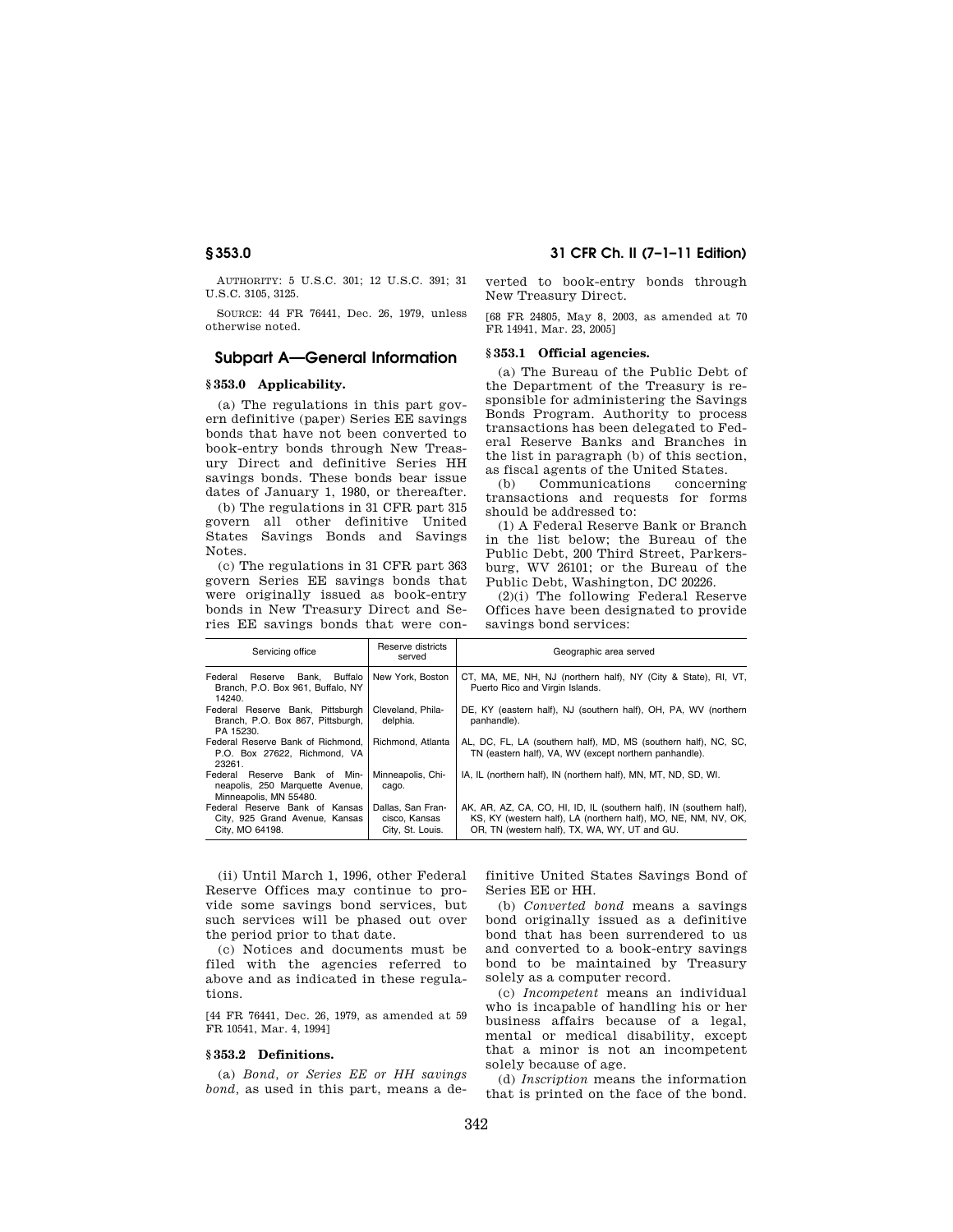AUTHORITY: 5 U.S.C. 301; 12 U.S.C. 391; 31 U.S.C. 3105, 3125.

SOURCE: 44 FR 76441, Dec. 26, 1979, unless otherwise noted.

# **Subpart A—General Information**

## **§ 353.0 Applicability.**

(a) The regulations in this part govern definitive (paper) Series EE savings bonds that have not been converted to book-entry bonds through New Treasury Direct and definitive Series HH savings bonds. These bonds bear issue dates of January 1, 1980, or thereafter.

(b) The regulations in 31 CFR part 315 govern all other definitive United States Savings Bonds and Savings Notes.

(c) The regulations in 31 CFR part 363 govern Series EE savings bonds that were originally issued as book-entry bonds in New Treasury Direct and Series EE savings bonds that were con-

**§ 353.0 31 CFR Ch. II (7–1–11 Edition)** 

verted to book-entry bonds through New Treasury Direct.

[68 FR 24805, May 8, 2003, as amended at 70 FR 14941, Mar. 23, 2005]

#### **§ 353.1 Official agencies.**

(a) The Bureau of the Public Debt of the Department of the Treasury is responsible for administering the Savings Bonds Program. Authority to process transactions has been delegated to Federal Reserve Banks and Branches in the list in paragraph (b) of this section, as fiscal agents of the United States.

(b) Communications concerning transactions and requests for forms should be addressed to:

(1) A Federal Reserve Bank or Branch in the list below; the Bureau of the Public Debt, 200 Third Street, Parkersburg, WV 26101; or the Bureau of the Public Debt, Washington, DC 20226.

(2)(i) The following Federal Reserve Offices have been designated to provide savings bond services:

| Servicing office                                                                          | Reserve districts<br>served                            | Geographic area served                                                                                                                                                                 |
|-------------------------------------------------------------------------------------------|--------------------------------------------------------|----------------------------------------------------------------------------------------------------------------------------------------------------------------------------------------|
| Reserve Bank, Buffalo<br>Federal<br>Branch, P.O. Box 961, Buffalo, NY<br>14240.           | New York, Boston                                       | CT, MA, ME, NH, NJ (northern half), NY (City & State), RI, VT,<br>Puerto Rico and Virgin Islands.                                                                                      |
| Federal Reserve Bank, Pittsburgh<br>Branch, P.O. Box 867, Pittsburgh,<br>PA 15230.        | Cleveland, Phila-<br>delphia.                          | DE, KY (eastern half), NJ (southern half), OH, PA, WV (northern<br>panhandle).                                                                                                         |
| Federal Reserve Bank of Richmond.<br>P.O. Box 27622. Richmond. VA<br>23261.               | Richmond, Atlanta                                      | AL, DC, FL, LA (southern half), MD, MS (southern half), NC, SC,<br>TN (eastern half), VA, WV (except northern panhandle).                                                              |
| Federal Reserve Bank of Min-<br>neapolis, 250 Marquette Avenue,<br>Minneapolis, MN 55480. | Minneapolis, Chi-<br>cago.                             | IA, IL (northern half), IN (northern half), MN, MT, ND, SD, WI.                                                                                                                        |
| Federal Reserve Bank of Kansas<br>City, 925 Grand Avenue, Kansas<br>City, MO 64198.       | Dallas, San Fran-<br>cisco, Kansas<br>City, St. Louis. | AK, AR, AZ, CA, CO, HI, ID, IL (southern half), IN (southern half),<br>KS, KY (western half), LA (northern half), MO, NE, NM, NV, OK,<br>OR, TN (western half), TX, WA, WY, UT and GU. |

(ii) Until March 1, 1996, other Federal Reserve Offices may continue to provide some savings bond services, but such services will be phased out over the period prior to that date.

(c) Notices and documents must be filed with the agencies referred to above and as indicated in these regulations.

[44 FR 76441, Dec. 26, 1979, as amended at 59 FR 10541, Mar. 4, 1994]

#### **§ 353.2 Definitions.**

(a) *Bond, or Series EE or HH savings bond,* as used in this part, means a definitive United States Savings Bond of Series EE or HH.

(b) *Converted bond* means a savings bond originally issued as a definitive bond that has been surrendered to us and converted to a book-entry savings bond to be maintained by Treasury solely as a computer record.

(c) *Incompetent* means an individual who is incapable of handling his or her business affairs because of a legal, mental or medical disability, except that a minor is not an incompetent solely because of age.

(d) *Inscription* means the information that is printed on the face of the bond.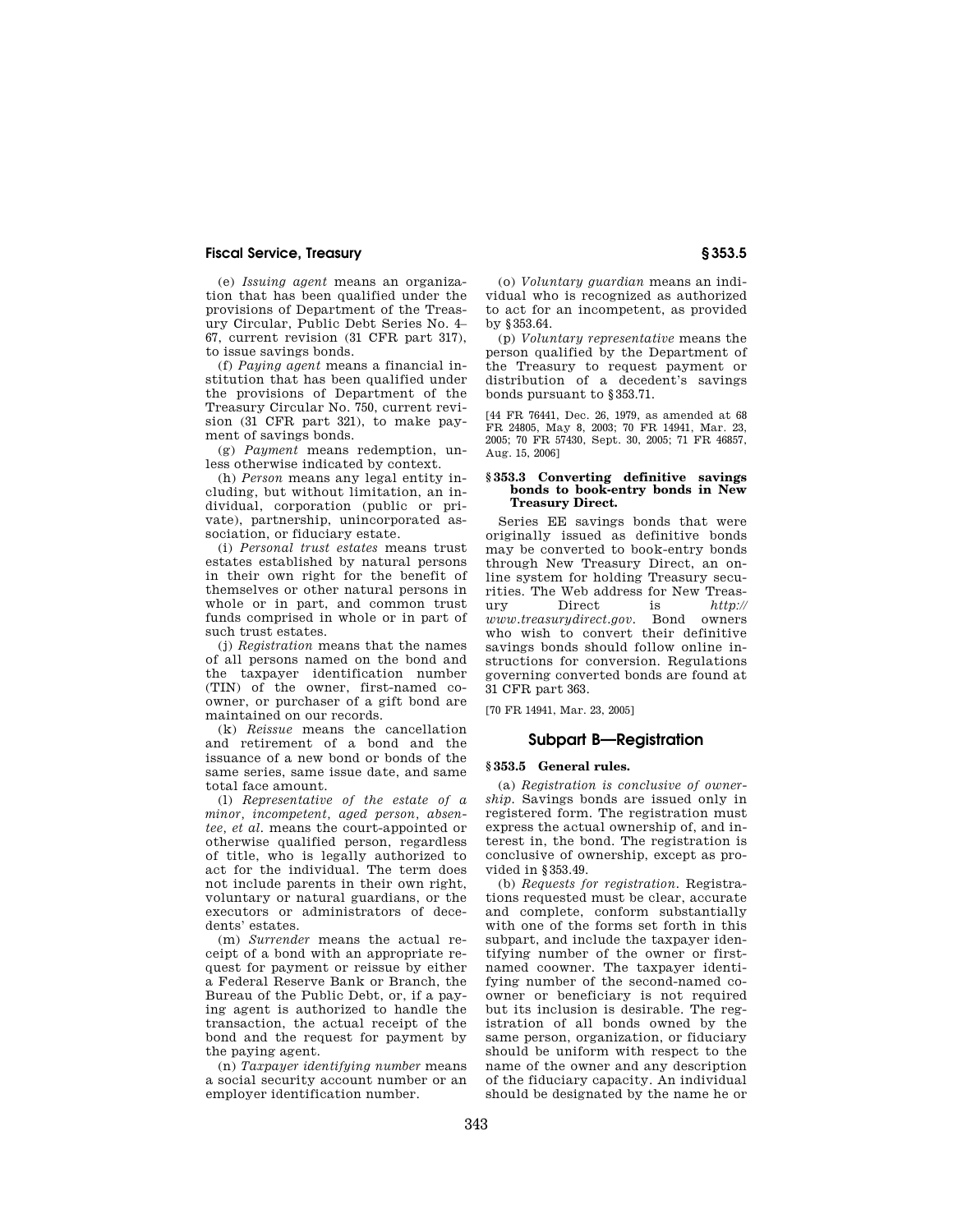(e) *Issuing agent* means an organization that has been qualified under the provisions of Department of the Treasury Circular, Public Debt Series No. 4– 67, current revision (31 CFR part 317), to issue savings bonds.

(f) *Paying agent* means a financial institution that has been qualified under the provisions of Department of the Treasury Circular No. 750, current revision (31 CFR part 321), to make payment of savings bonds.

(g) *Payment* means redemption, unless otherwise indicated by context.

(h) *Person* means any legal entity including, but without limitation, an individual, corporation (public or private), partnership, unincorporated association, or fiduciary estate.

(i) *Personal trust estates* means trust estates established by natural persons in their own right for the benefit of themselves or other natural persons in whole or in part, and common trust funds comprised in whole or in part of such trust estates.

(j) *Registration* means that the names of all persons named on the bond and the taxpayer identification number (TIN) of the owner, first-named coowner, or purchaser of a gift bond are maintained on our records.

(k) *Reissue* means the cancellation and retirement of a bond and the issuance of a new bond or bonds of the same series, same issue date, and same total face amount.

(l) *Representative of the estate of a minor, incompetent, aged person, absentee, et al.* means the court-appointed or otherwise qualified person, regardless of title, who is legally authorized to act for the individual. The term does not include parents in their own right, voluntary or natural guardians, or the executors or administrators of decedents' estates.

(m) *Surrender* means the actual receipt of a bond with an appropriate request for payment or reissue by either a Federal Reserve Bank or Branch, the Bureau of the Public Debt, or, if a paying agent is authorized to handle the transaction, the actual receipt of the bond and the request for payment by the paying agent.

(n) *Taxpayer identifying number* means a social security account number or an employer identification number.

(o) *Voluntary guardian* means an individual who is recognized as authorized to act for an incompetent, as provided by §353.64.

(p) *Voluntary representative* means the person qualified by the Department of the Treasury to request payment or distribution of a decedent's savings bonds pursuant to §353.71.

[44 FR 76441, Dec. 26, 1979, as amended at 68 FR 24805, May 8, 2003; 70 FR 14941, Mar. 23, 2005; 70 FR 57430, Sept. 30, 2005; 71 FR 46857, Aug. 15, 2006]

### **§ 353.3 Converting definitive savings bonds to book-entry bonds in New Treasury Direct.**

Series EE savings bonds that were originally issued as definitive bonds may be converted to book-entry bonds through New Treasury Direct, an online system for holding Treasury securities. The Web address for New Treasury Direct is *http:// www.treasurydirect.gov.* Bond owners who wish to convert their definitive savings bonds should follow online instructions for conversion. Regulations governing converted bonds are found at 31 CFR part 363.

[70 FR 14941, Mar. 23, 2005]

# **Subpart B—Registration**

## **§ 353.5 General rules.**

(a) *Registration is conclusive of ownership.* Savings bonds are issued only in registered form. The registration must express the actual ownership of, and interest in, the bond. The registration is conclusive of ownership, except as provided in §353.49.

(b) *Requests for registration.* Registrations requested must be clear, accurate and complete, conform substantially with one of the forms set forth in this subpart, and include the taxpayer identifying number of the owner or firstnamed coowner. The taxpayer identifying number of the second-named coowner or beneficiary is not required but its inclusion is desirable. The registration of all bonds owned by the same person, organization, or fiduciary should be uniform with respect to the name of the owner and any description of the fiduciary capacity. An individual should be designated by the name he or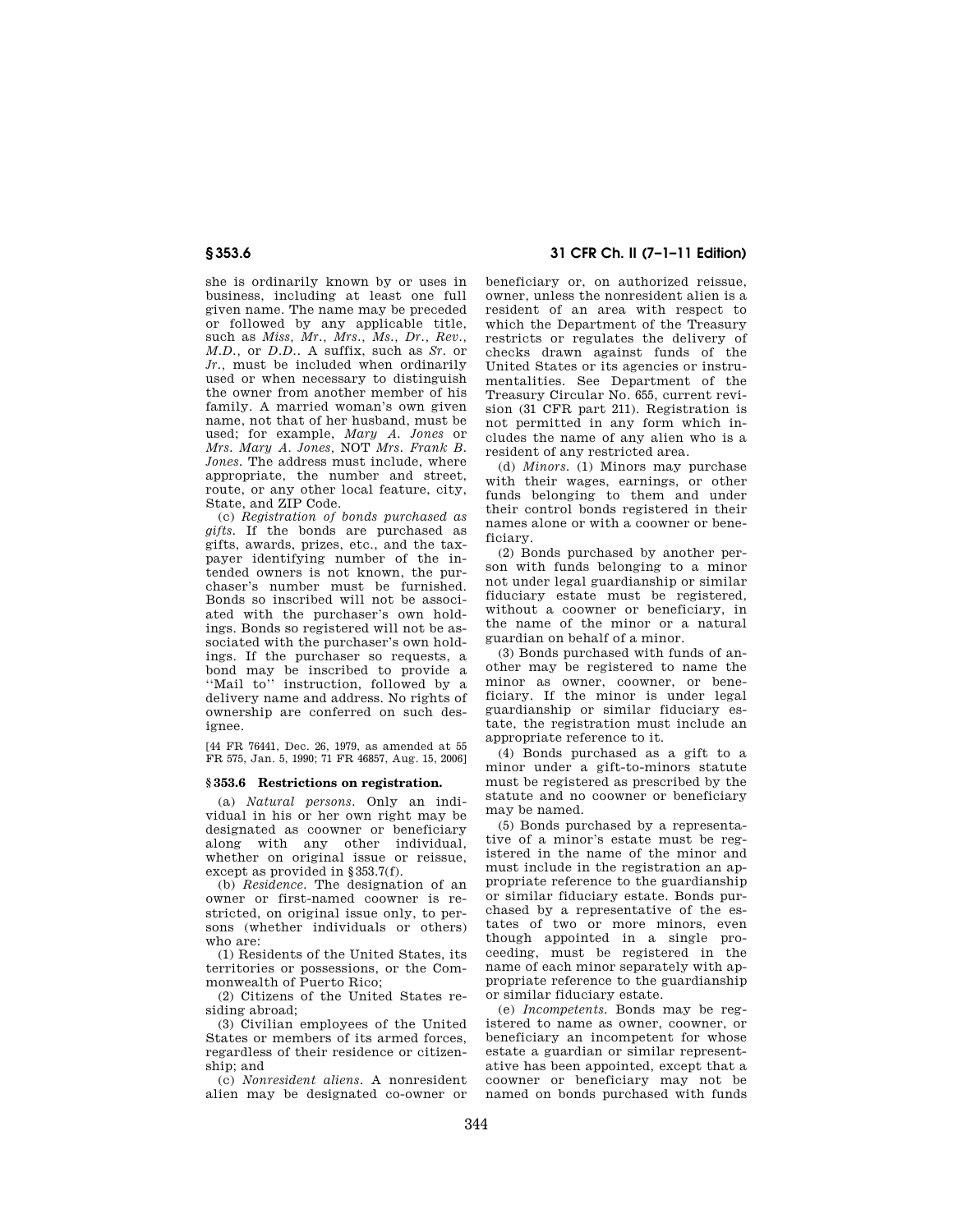she is ordinarily known by or uses in business, including at least one full given name. The name may be preceded or followed by any applicable title, such as *Miss, Mr., Mrs., Ms., Dr., Rev., M.D.,* or *D.D..* A suffix, such as *Sr.* or *Jr.,* must be included when ordinarily used or when necessary to distinguish the owner from another member of his family. A married woman's own given name, not that of her husband, must be used; for example, *Mary A. Jones* or *Mrs. Mary A. Jones,* NOT *Mrs. Frank B. Jones.* The address must include, where appropriate, the number and street, route, or any other local feature, city, State, and ZIP Code.

(c) *Registration of bonds purchased as gifts.* If the bonds are purchased as gifts, awards, prizes, etc., and the taxpayer identifying number of the intended owners is not known, the purchaser's number must be furnished. Bonds so inscribed will not be associated with the purchaser's own holdings. Bonds so registered will not be associated with the purchaser's own holdings. If the purchaser so requests, a bond may be inscribed to provide a "Mail to" instruction, followed by a delivery name and address. No rights of ownership are conferred on such designee.

[44 FR 76441, Dec. 26, 1979, as amended at 55 FR 575, Jan. 5, 1990; 71 FR 46857, Aug. 15, 2006]

#### **§ 353.6 Restrictions on registration.**

(a) *Natural persons.* Only an individual in his or her own right may be designated as coowner or beneficiary along with any other individual, whether on original issue or reissue, except as provided in §353.7(f).

(b) *Residence.* The designation of an owner or first-named coowner is restricted, on original issue only, to persons (whether individuals or others) who are:

(1) Residents of the United States, its territories or possessions, or the Commonwealth of Puerto Rico;

(2) Citizens of the United States residing abroad;

(3) Civilian employees of the United States or members of its armed forces, regardless of their residence or citizenship; and

(c) *Nonresident aliens.* A nonresident alien may be designated co-owner or

# **§ 353.6 31 CFR Ch. II (7–1–11 Edition)**

beneficiary or, on authorized reissue, owner, unless the nonresident alien is a resident of an area with respect to which the Department of the Treasury restricts or regulates the delivery of checks drawn against funds of the United States or its agencies or instrumentalities. See Department of the Treasury Circular No. 655, current revision (31 CFR part 211). Registration is not permitted in any form which includes the name of any alien who is a resident of any restricted area.

(d) *Minors.* (1) Minors may purchase with their wages, earnings, or other funds belonging to them and under their control bonds registered in their names alone or with a coowner or beneficiary.

(2) Bonds purchased by another person with funds belonging to a minor not under legal guardianship or similar fiduciary estate must be registered, without a coowner or beneficiary, in the name of the minor or a natural guardian on behalf of a minor.

(3) Bonds purchased with funds of another may be registered to name the minor as owner, coowner, or beneficiary. If the minor is under legal guardianship or similar fiduciary estate, the registration must include an appropriate reference to it.

(4) Bonds purchased as a gift to a minor under a gift-to-minors statute must be registered as prescribed by the statute and no coowner or beneficiary may be named.

(5) Bonds purchased by a representative of a minor's estate must be registered in the name of the minor and must include in the registration an appropriate reference to the guardianship or similar fiduciary estate. Bonds purchased by a representative of the estates of two or more minors, even though appointed in a single proceeding, must be registered in the name of each minor separately with appropriate reference to the guardianship or similar fiduciary estate.

(e) *Incompetents.* Bonds may be registered to name as owner, coowner, or beneficiary an incompetent for whose estate a guardian or similar representative has been appointed, except that a coowner or beneficiary may not be named on bonds purchased with funds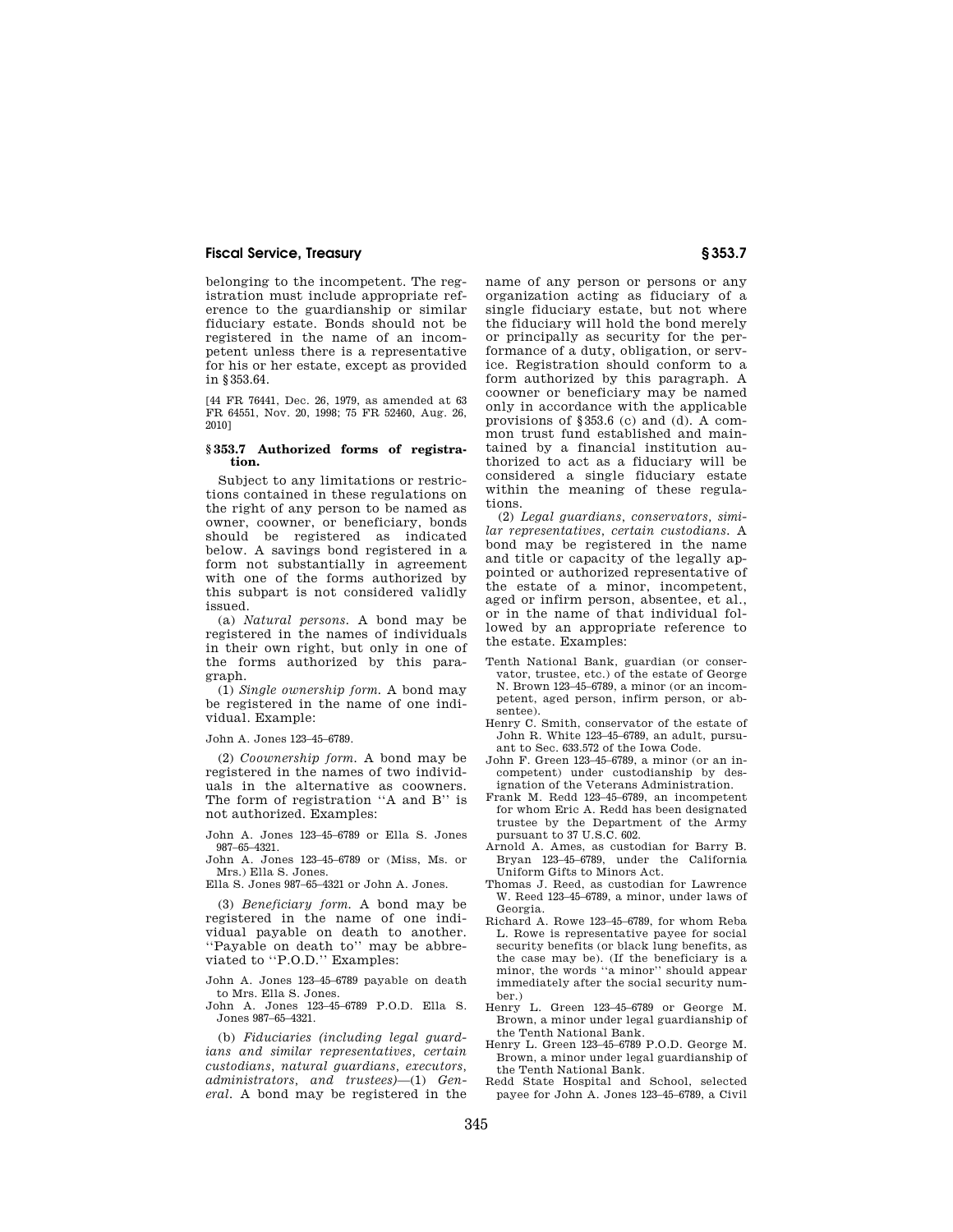belonging to the incompetent. The registration must include appropriate reference to the guardianship or similar fiduciary estate. Bonds should not be registered in the name of an incompetent unless there is a representative for his or her estate, except as provided in §353.64.

[44 FR 76441, Dec. 26, 1979, as amended at 63 FR 64551, Nov. 20, 1998; 75 FR 52460, Aug. 26, 2010]

# **§ 353.7 Authorized forms of registration.**

Subject to any limitations or restrictions contained in these regulations on the right of any person to be named as owner, coowner, or beneficiary, bonds should be registered as indicated below. A savings bond registered in a form not substantially in agreement with one of the forms authorized by this subpart is not considered validly issued.

(a) *Natural persons.* A bond may be registered in the names of individuals in their own right, but only in one of the forms authorized by this paragraph.

(1) *Single ownership form.* A bond may be registered in the name of one individual. Example:

John A. Jones 123–45–6789.

(2) *Coownership form.* A bond may be registered in the names of two individuals in the alternative as coowners. The form of registration ''A and B'' is not authorized. Examples:

John A. Jones 123–45–6789 or Ella S. Jones 987–65–4321.

John A. Jones 123–45–6789 or (Miss, Ms. or Mrs.) Ella S. Jones.

Ella S. Jones 987–65–4321 or John A. Jones.

(3) *Beneficiary form.* A bond may be registered in the name of one individual payable on death to another. ''Payable on death to'' may be abbreviated to ''P.O.D.'' Examples:

John A. Jones 123–45–6789 payable on death to Mrs. Ella S. Jones.

John A. Jones 123–45–6789 P.O.D. Ella S. Jones 987–65–4321.

(b) *Fiduciaries (including legal guardians and similar representatives, certain custodians, natural guardians, executors, administrators, and trustees)*—(1) *General.* A bond may be registered in the name of any person or persons or any organization acting as fiduciary of a single fiduciary estate, but not where the fiduciary will hold the bond merely or principally as security for the performance of a duty, obligation, or service. Registration should conform to a form authorized by this paragraph. A coowner or beneficiary may be named only in accordance with the applicable provisions of §353.6 (c) and (d). A common trust fund established and maintained by a financial institution authorized to act as a fiduciary will be considered a single fiduciary estate within the meaning of these regulations.

(2) *Legal guardians, conservators, similar representatives, certain custodians.* A bond may be registered in the name and title or capacity of the legally appointed or authorized representative of the estate of a minor, incompetent, aged or infirm person, absentee, et al., or in the name of that individual followed by an appropriate reference to the estate. Examples:

- Tenth National Bank, guardian (or conservator, trustee, etc.) of the estate of George N. Brown 123–45–6789, a minor (or an incompetent, aged person, infirm person, or absentee).
- Henry C. Smith, conservator of the estate of John R. White 123–45–6789, an adult, pursuant to Sec. 633.572 of the Iowa Code.
- John F. Green 123–45–6789, a minor (or an incompetent) under custodianship by designation of the Veterans Administration.
- Frank M. Redd 123–45–6789, an incompetent for whom Eric A. Redd has been designated trustee by the Department of the Army pursuant to 37 U.S.C. 602.
- Arnold A. Ames, as custodian for Barry B. Bryan 123–45–6789, under the California Uniform Gifts to Minors Act.
- Thomas J. Reed, as custodian for Lawrence W. Reed 123–45–6789, a minor, under laws of Georgia.
- Richard A. Rowe 123–45–6789, for whom Reba L. Rowe is representative payee for social security benefits (or black lung benefits, as the case may be). (If the beneficiary is a minor, the words ''a minor'' should appear immediately after the social security number.)
- Henry L. Green 123–45–6789 or George M. Brown, a minor under legal guardianship of the Tenth National Bank.
- Henry L. Green 123–45–6789 P.O.D. George M. Brown, a minor under legal guardianship of the Tenth National Bank.
- Redd State Hospital and School, selected payee for John A. Jones 123–45–6789, a Civil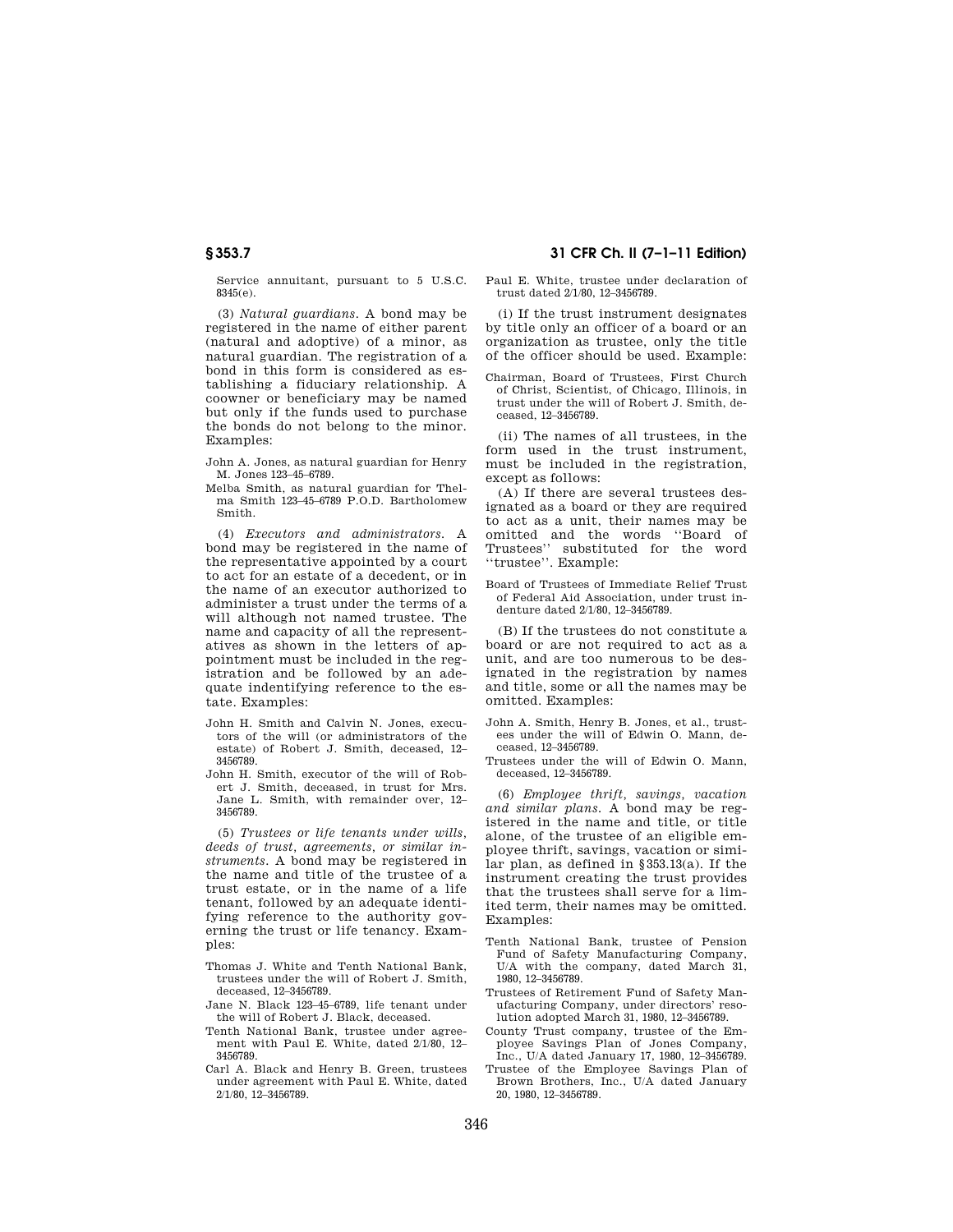Service annuitant, pursuant to 5 U.S.C. 8345(e).

(3) *Natural guardians.* A bond may be registered in the name of either parent (natural and adoptive) of a minor, as natural guardian. The registration of a bond in this form is considered as establishing a fiduciary relationship. A coowner or beneficiary may be named but only if the funds used to purchase the bonds do not belong to the minor. Examples:

John A. Jones, as natural guardian for Henry M. Jones 123–45–6789.

Melba Smith, as natural guardian for Thelma Smith 123–45–6789 P.O.D. Bartholomew Smith.

(4) *Executors and administrators.* A bond may be registered in the name of the representative appointed by a court to act for an estate of a decedent, or in the name of an executor authorized to administer a trust under the terms of a will although not named trustee. The name and capacity of all the representatives as shown in the letters of appointment must be included in the registration and be followed by an adequate indentifying reference to the estate. Examples:

- John H. Smith and Calvin N. Jones, executors of the will (or administrators of the estate) of Robert J. Smith, deceased, 12– 3456789.
- John H. Smith, executor of the will of Robert J. Smith, deceased, in trust for Mrs. Jane L. Smith, with remainder over, 12– 3456789.

(5) *Trustees or life tenants under wills, deeds of trust, agreements, or similar instruments.* A bond may be registered in the name and title of the trustee of a trust estate, or in the name of a life tenant, followed by an adequate identifying reference to the authority governing the trust or life tenancy. Examples:

- Thomas J. White and Tenth National Bank, trustees under the will of Robert J. Smith, deceased, 12–3456789.
- Jane N. Black 123–45–6789, life tenant under the will of Robert J. Black, deceased.
- Tenth National Bank, trustee under agreement with Paul E. White, dated 2/1/80, 12– 3456789.
- Carl A. Black and Henry B. Green, trustees under agreement with Paul E. White, dated 2/1/80, 12–3456789.

# **§ 353.7 31 CFR Ch. II (7–1–11 Edition)**

#### Paul E. White, trustee under declaration of trust dated 2/1/80, 12–3456789.

(i) If the trust instrument designates by title only an officer of a board or an organization as trustee, only the title of the officer should be used. Example:

Chairman, Board of Trustees, First Church of Christ, Scientist, of Chicago, Illinois, in trust under the will of Robert J. Smith, deceased, 12–3456789.

(ii) The names of all trustees, in the form used in the trust instrument, must be included in the registration, except as follows:

(A) If there are several trustees designated as a board or they are required to act as a unit, their names may be omitted and the words ''Board of Trustees'' substituted for the word ''trustee''. Example:

Board of Trustees of Immediate Relief Trust of Federal Aid Association, under trust indenture dated 2/1/80, 12–3456789.

(B) If the trustees do not constitute a board or are not required to act as a unit, and are too numerous to be designated in the registration by names and title, some or all the names may be omitted. Examples:

- John A. Smith, Henry B. Jones, et al., trustees under the will of Edwin O. Mann, deceased, 12–3456789.
- Trustees under the will of Edwin O. Mann, deceased, 12–3456789.

(6) *Employee thrift, savings, vacation and similar plans.* A bond may be registered in the name and title, or title alone, of the trustee of an eligible employee thrift, savings, vacation or similar plan, as defined in §353.13(a). If the instrument creating the trust provides that the trustees shall serve for a limited term, their names may be omitted. Examples:

- Tenth National Bank, trustee of Pension Fund of Safety Manufacturing Company, U/A with the company, dated March 31, 1980, 12–3456789.
- Trustees of Retirement Fund of Safety Manufacturing Company, under directors' resolution adopted March 31, 1980, 12–3456789.
- County Trust company, trustee of the Employee Savings Plan of Jones Company, Inc., U/A dated January 17, 1980, 12–3456789.
- Trustee of the Employee Savings Plan of Brown Brothers, Inc., U/A dated January 20, 1980, 12–3456789.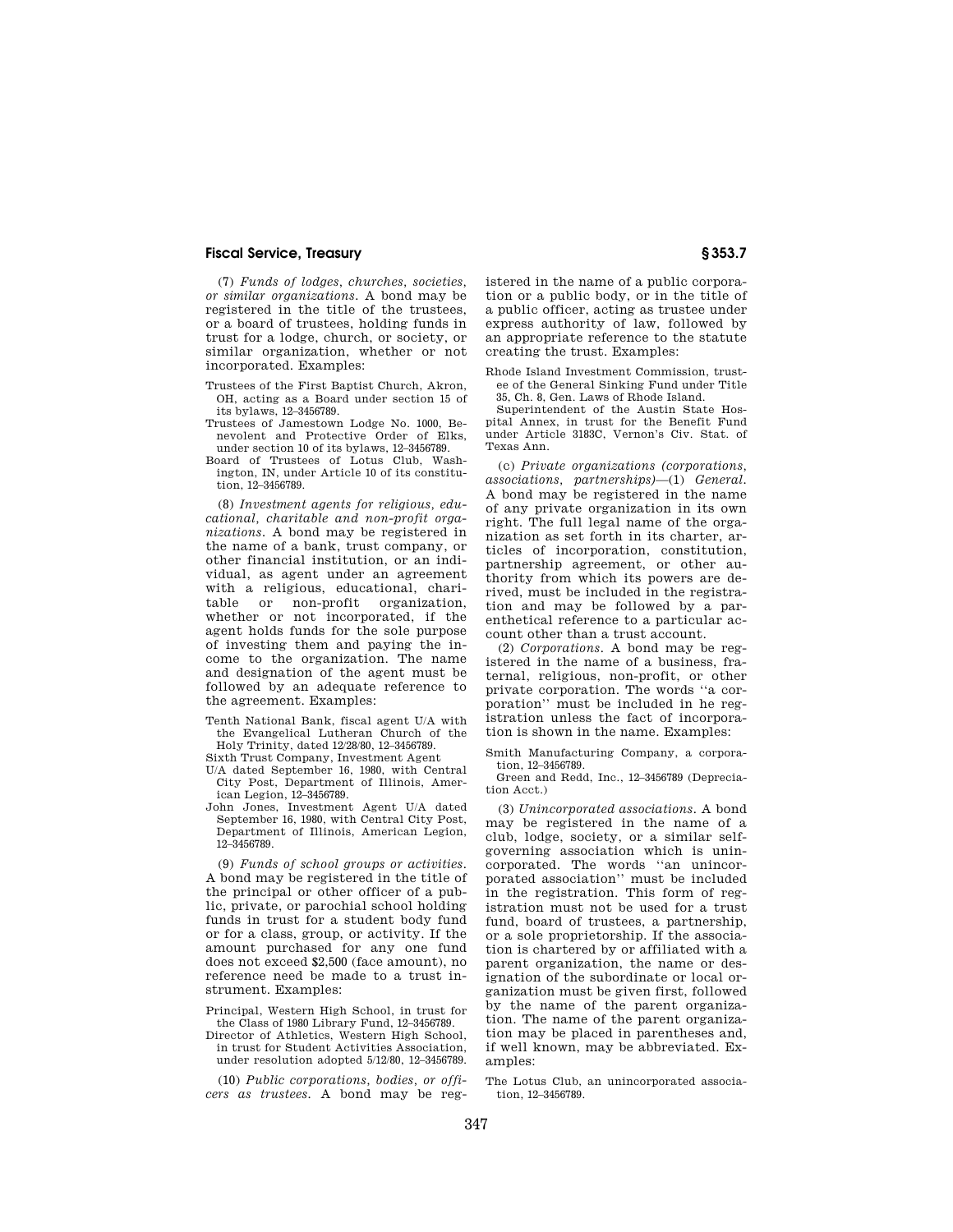(7) *Funds of lodges, churches, societies, or similar organizations.* A bond may be registered in the title of the trustees, or a board of trustees, holding funds in trust for a lodge, church, or society, or similar organization, whether or not incorporated. Examples:

- Trustees of the First Baptist Church, Akron, OH, acting as a Board under section 15 of its bylaws, 12–3456789.
- Trustees of Jamestown Lodge No. 1000, Benevolent and Protective Order of Elks, under section 10 of its bylaws, 12–3456789.
- Board of Trustees of Lotus Club, Washington, IN, under Article 10 of its constitution, 12–3456789.

(8) *Investment agents for religious, educational, charitable and non-profit organizations.* A bond may be registered in the name of a bank, trust company, or other financial institution, or an individual, as agent under an agreement with a religious, educational, charitable or non-profit organization, whether or not incorporated, if the agent holds funds for the sole purpose of investing them and paying the income to the organization. The name and designation of the agent must be followed by an adequate reference to the agreement. Examples:

Tenth National Bank, fiscal agent U/A with the Evangelical Lutheran Church of the Holy Trinity, dated 12/28/80, 12–3456789.

Sixth Trust Company, Investment Agent

- U/A dated September 16, 1980, with Central City Post, Department of Illinois, American Legion, 12–3456789.
- John Jones, Investment Agent U/A dated September 16, 1980, with Central City Post, Department of Illinois, American Legion, 12–3456789.

(9) *Funds of school groups or activities.*  A bond may be registered in the title of the principal or other officer of a public, private, or parochial school holding funds in trust for a student body fund or for a class, group, or activity. If the amount purchased for any one fund does not exceed \$2,500 (face amount), no reference need be made to a trust instrument. Examples:

- Principal, Western High School, in trust for the Class of 1980 Library Fund, 12–3456789.
- Director of Athletics, Western High School, in trust for Student Activities Association, under resolution adopted 5/12/80, 12–3456789.

(10) *Public corporations, bodies, or officers as trustees.* A bond may be registered in the name of a public corporation or a public body, or in the title of a public officer, acting as trustee under express authority of law, followed by an appropriate reference to the statute creating the trust. Examples:

Rhode Island Investment Commission, trustee of the General Sinking Fund under Title 35, Ch. 8, Gen. Laws of Rhode Island.

Superintendent of the Austin State Hospital Annex, in trust for the Benefit Fund under Article 3183C, Vernon's Civ. Stat. of Texas Ann.

(c) *Private organizations (corporations, associations, partnerships)*—(1) *General.*  A bond may be registered in the name of any private organization in its own right. The full legal name of the organization as set forth in its charter, articles of incorporation, constitution, partnership agreement, or other authority from which its powers are derived, must be included in the registration and may be followed by a parenthetical reference to a particular account other than a trust account.

(2) *Corporations.* A bond may be registered in the name of a business, fraternal, religious, non-profit, or other private corporation. The words ''a corporation'' must be included in he registration unless the fact of incorporation is shown in the name. Examples:

Smith Manufacturing Company, a corporation, 12–3456789.

Green and Redd, Inc., 12–3456789 (Depreciation Acct.)

(3) *Unincorporated associations.* A bond may be registered in the name of a club, lodge, society, or a similar selfgoverning association which is unincorporated. The words ''an unincorporated association'' must be included in the registration. This form of registration must not be used for a trust fund, board of trustees, a partnership, or a sole proprietorship. If the association is chartered by or affiliated with a parent organization, the name or designation of the subordinate or local organization must be given first, followed by the name of the parent organization. The name of the parent organization may be placed in parentheses and, if well known, may be abbreviated. Examples:

The Lotus Club, an unincorporated association, 12–3456789.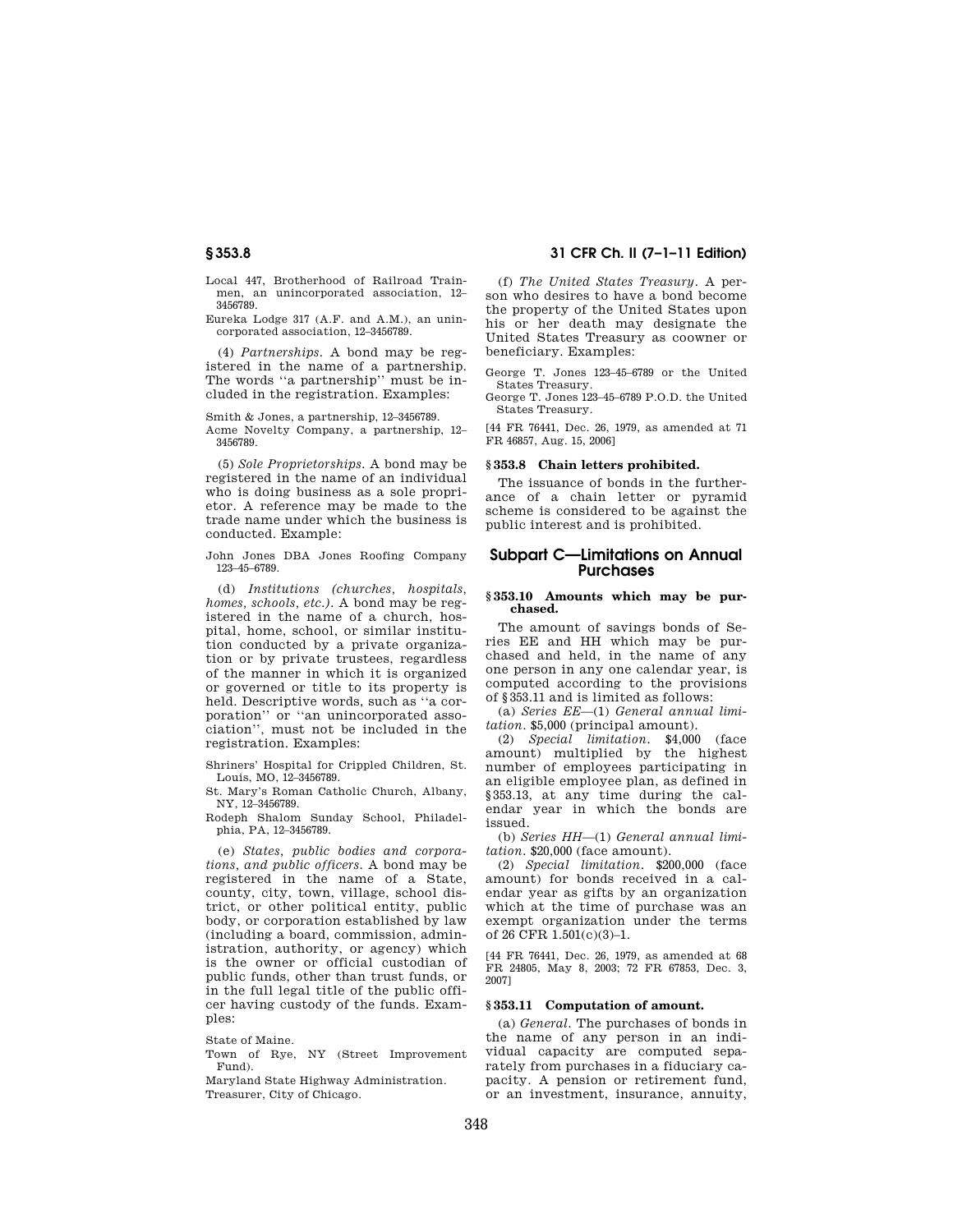Local 447, Brotherhood of Railroad Trainmen, an unincorporated association, 12– 3456789.

Eureka Lodge 317 (A.F. and A.M.), an unincorporated association, 12–3456789.

(4) *Partnerships.* A bond may be registered in the name of a partnership. The words ''a partnership'' must be included in the registration. Examples:

Smith & Jones, a partnership, 12–3456789.

Acme Novelty Company, a partnership, 12– 3456789.

(5) *Sole Proprietorships.* A bond may be registered in the name of an individual who is doing business as a sole proprietor. A reference may be made to the trade name under which the business is conducted. Example:

John Jones DBA Jones Roofing Company 123–45–6789.

(d) *Institutions (churches, hospitals, homes, schools, etc.).* A bond may be registered in the name of a church, hospital, home, school, or similar institution conducted by a private organization or by private trustees, regardless of the manner in which it is organized or governed or title to its property is held. Descriptive words, such as ''a corporation'' or ''an unincorporated association'', must not be included in the registration. Examples:

Shriners' Hospital for Crippled Children, St. Louis, MO, 12–3456789.

St. Mary's Roman Catholic Church, Albany, NY, 12–3456789.

Rodeph Shalom Sunday School, Philadelphia, PA, 12–3456789.

(e) *States, public bodies and corporations, and public officers.* A bond may be registered in the name of a State, county, city, town, village, school district, or other political entity, public body, or corporation established by law (including a board, commission, administration, authority, or agency) which is the owner or official custodian of public funds, other than trust funds, or in the full legal title of the public officer having custody of the funds. Examples:

State of Maine.

Town of Rye, NY (Street Improvement Fund).

Maryland State Highway Administration. Treasurer, City of Chicago.

**§ 353.8 31 CFR Ch. II (7–1–11 Edition)** 

(f) *The United States Treasury.* A person who desires to have a bond become the property of the United States upon his or her death may designate the United States Treasury as coowner or beneficiary. Examples:

George T. Jones 123–45–6789 or the United States Treasury.

George T. Jones 123–45–6789 P.O.D. the United States Treasury.

[44 FR 76441, Dec. 26, 1979, as amended at 71 FR 46857, Aug. 15, 2006]

#### **§ 353.8 Chain letters prohibited.**

The issuance of bonds in the furtherance of a chain letter or pyramid scheme is considered to be against the public interest and is prohibited.

# **Subpart C—Limitations on Annual Purchases**

#### **§ 353.10 Amounts which may be purchased.**

The amount of savings bonds of Series EE and HH which may be purchased and held, in the name of any one person in any one calendar year, is computed according to the provisions of §353.11 and is limited as follows:

(a) *Series EE*—(1) *General annual limitation*. \$5,000 (principal amount).

(2) *Special limitation.* \$4,000 (face amount) multiplied by the highest number of employees participating in an eligible employee plan, as defined in §353.13, at any time during the calendar year in which the bonds are issued.

(b) *Series HH*—(1) *General annual limitation.* \$20,000 (face amount).

(2) *Special limitation.* \$200,000 (face amount) for bonds received in a calendar year as gifts by an organization which at the time of purchase was an exempt organization under the terms of 26 CFR 1.501(c)(3)–1.

[44 FR 76441, Dec. 26, 1979, as amended at 68 FR 24805, May 8, 2003; 72 FR 67853, Dec. 3, 2007]

#### **§ 353.11 Computation of amount.**

(a) *General.* The purchases of bonds in the name of any person in an individual capacity are computed separately from purchases in a fiduciary capacity. A pension or retirement fund, or an investment, insurance, annuity,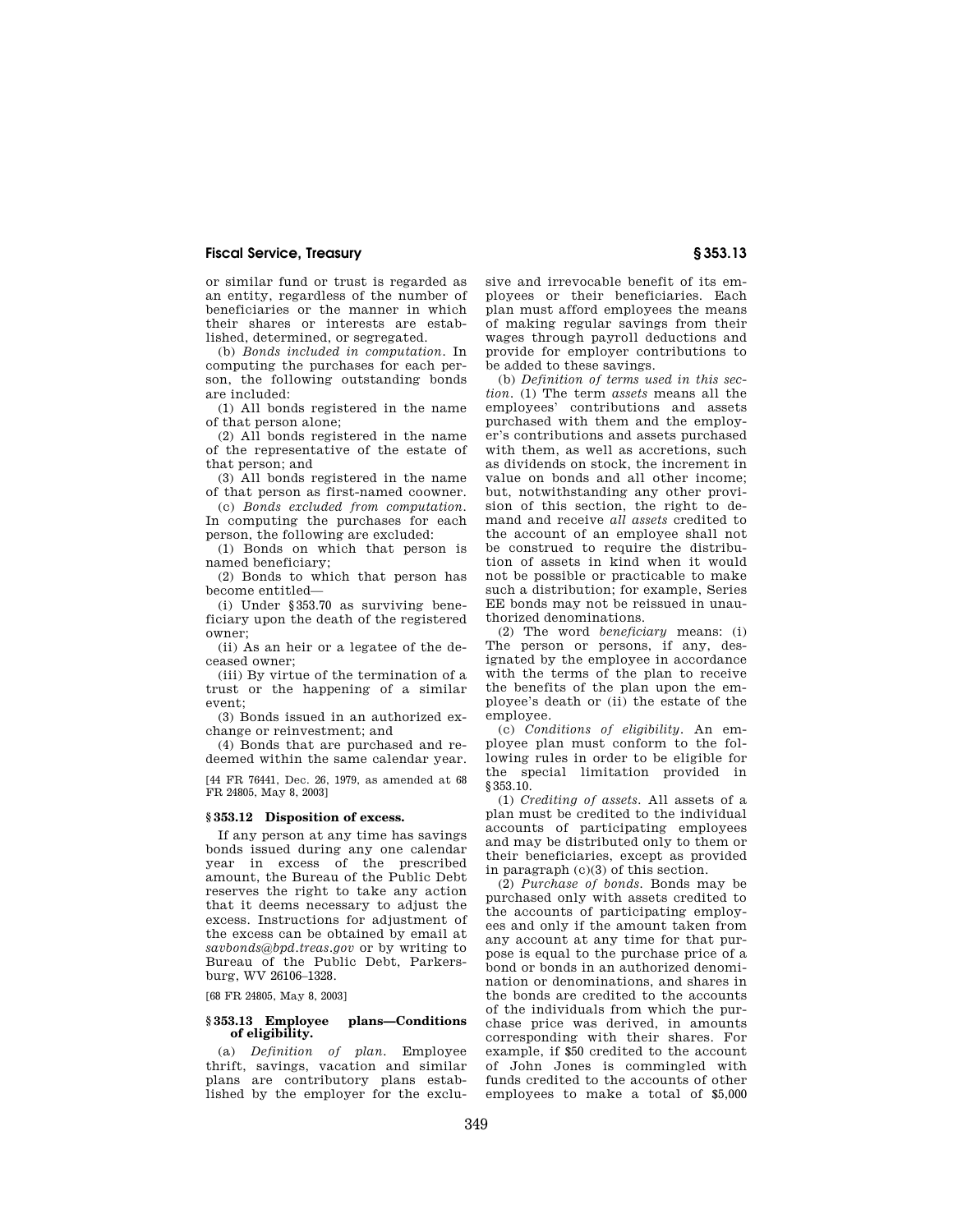or similar fund or trust is regarded as an entity, regardless of the number of beneficiaries or the manner in which their shares or interests are established, determined, or segregated.

(b) *Bonds included in computation.* In computing the purchases for each person, the following outstanding bonds are included:

(1) All bonds registered in the name of that person alone;

(2) All bonds registered in the name of the representative of the estate of that person; and

(3) All bonds registered in the name of that person as first-named coowner.

(c) *Bonds excluded from computation.*  In computing the purchases for each person, the following are excluded:

(1) Bonds on which that person is named beneficiary;

(2) Bonds to which that person has become entitled—

(i) Under §353.70 as surviving beneficiary upon the death of the registered owner;

(ii) As an heir or a legatee of the deceased owner;

(iii) By virtue of the termination of a trust or the happening of a similar event;

(3) Bonds issued in an authorized exchange or reinvestment; and

(4) Bonds that are purchased and redeemed within the same calendar year.

[44 FR 76441, Dec. 26, 1979, as amended at 68 FR 24805, May 8, 2003]

#### **§ 353.12 Disposition of excess.**

If any person at any time has savings bonds issued during any one calendar year in excess of the prescribed amount, the Bureau of the Public Debt reserves the right to take any action that it deems necessary to adjust the excess. Instructions for adjustment of the excess can be obtained by email at *savbonds@bpd.treas.gov* or by writing to Bureau of the Public Debt, Parkersburg, WV 26106–1328.

[68 FR 24805, May 8, 2003]

## **§ 353.13 Employee plans—Conditions of eligibility.**

(a) *Definition of plan.* Employee thrift, savings, vacation and similar plans are contributory plans established by the employer for the exclusive and irrevocable benefit of its employees or their beneficiaries. Each plan must afford employees the means of making regular savings from their wages through payroll deductions and provide for employer contributions to be added to these savings.

(b) *Definition of terms used in this section.* (1) The term *assets* means all the employees' contributions and assets purchased with them and the employer's contributions and assets purchased with them, as well as accretions, such as dividends on stock, the increment in value on bonds and all other income; but, notwithstanding any other provision of this section, the right to demand and receive *all assets* credited to the account of an employee shall not be construed to require the distribution of assets in kind when it would not be possible or practicable to make such a distribution; for example, Series EE bonds may not be reissued in unauthorized denominations.

(2) The word *beneficiary* means: (i) The person or persons, if any, designated by the employee in accordance with the terms of the plan to receive the benefits of the plan upon the employee's death or (ii) the estate of the employee.

(c) *Conditions of eligibility.* An employee plan must conform to the following rules in order to be eligible for the special limitation provided in §353.10.

(1) *Crediting of assets.* All assets of a plan must be credited to the individual accounts of participating employees and may be distributed only to them or their beneficiaries, except as provided in paragraph (c)(3) of this section.

(2) *Purchase of bonds.* Bonds may be purchased only with assets credited to the accounts of participating employees and only if the amount taken from any account at any time for that purpose is equal to the purchase price of a bond or bonds in an authorized denomination or denominations, and shares in the bonds are credited to the accounts of the individuals from which the purchase price was derived, in amounts corresponding with their shares. For example, if \$50 credited to the account of John Jones is commingled with funds credited to the accounts of other employees to make a total of \$5,000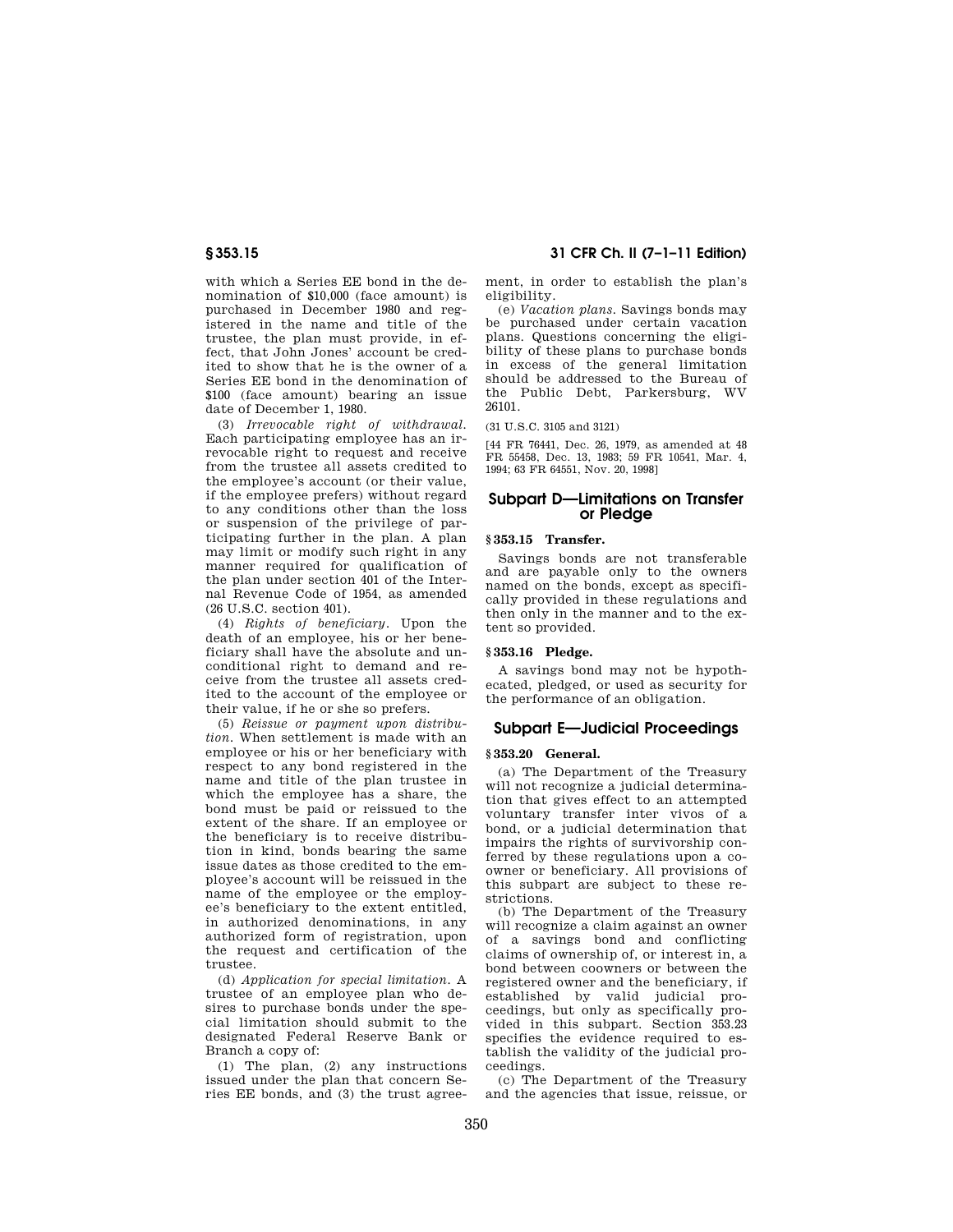with which a Series EE bond in the denomination of \$10,000 (face amount) is purchased in December 1980 and registered in the name and title of the trustee, the plan must provide, in effect, that John Jones' account be credited to show that he is the owner of a Series EE bond in the denomination of \$100 (face amount) bearing an issue date of December 1, 1980.

(3) *Irrevocable right of withdrawal.*  Each participating employee has an irrevocable right to request and receive from the trustee all assets credited to the employee's account (or their value, if the employee prefers) without regard to any conditions other than the loss or suspension of the privilege of participating further in the plan. A plan may limit or modify such right in any manner required for qualification of the plan under section 401 of the Internal Revenue Code of 1954, as amended (26 U.S.C. section 401).

(4) *Rights of beneficiary.* Upon the death of an employee, his or her beneficiary shall have the absolute and unconditional right to demand and receive from the trustee all assets credited to the account of the employee or their value, if he or she so prefers.

(5) *Reissue or payment upon distribution.* When settlement is made with an employee or his or her beneficiary with respect to any bond registered in the name and title of the plan trustee in which the employee has a share, the bond must be paid or reissued to the extent of the share. If an employee or the beneficiary is to receive distribution in kind, bonds bearing the same issue dates as those credited to the employee's account will be reissued in the name of the employee or the employee's beneficiary to the extent entitled, in authorized denominations, in any authorized form of registration, upon the request and certification of the trustee.

(d) *Application for special limitation.* A trustee of an employee plan who desires to purchase bonds under the special limitation should submit to the designated Federal Reserve Bank or Branch a copy of:

(1) The plan, (2) any instructions issued under the plan that concern Series EE bonds, and (3) the trust agreement, in order to establish the plan's eligibility.

(e) *Vacation plans.* Savings bonds may be purchased under certain vacation plans. Questions concerning the eligibility of these plans to purchase bonds in excess of the general limitation should be addressed to the Bureau of the Public Debt, Parkersburg, WV 26101.

(31 U.S.C. 3105 and 3121)

[44 FR 76441, Dec. 26, 1979, as amended at 48 FR 55458, Dec. 13, 1983; 59 FR 10541, Mar. 4, 1994; 63 FR 64551, Nov. 20, 1998]

# **Subpart D—Limitations on Transfer or Pledge**

# **§ 353.15 Transfer.**

Savings bonds are not transferable and are payable only to the owners named on the bonds, except as specifically provided in these regulations and then only in the manner and to the extent so provided.

## **§ 353.16 Pledge.**

A savings bond may not be hypothecated, pledged, or used as security for the performance of an obligation.

# **Subpart E—Judicial Proceedings**

### **§ 353.20 General.**

(a) The Department of the Treasury will not recognize a judicial determination that gives effect to an attempted voluntary transfer inter vivos of a bond, or a judicial determination that impairs the rights of survivorship conferred by these regulations upon a coowner or beneficiary. All provisions of this subpart are subject to these restrictions.

(b) The Department of the Treasury will recognize a claim against an owner of a savings bond and conflicting claims of ownership of, or interest in, a bond between coowners or between the registered owner and the beneficiary, if established by valid judicial proceedings, but only as specifically provided in this subpart. Section 353.23 specifies the evidence required to establish the validity of the judicial proceedings.

(c) The Department of the Treasury and the agencies that issue, reissue, or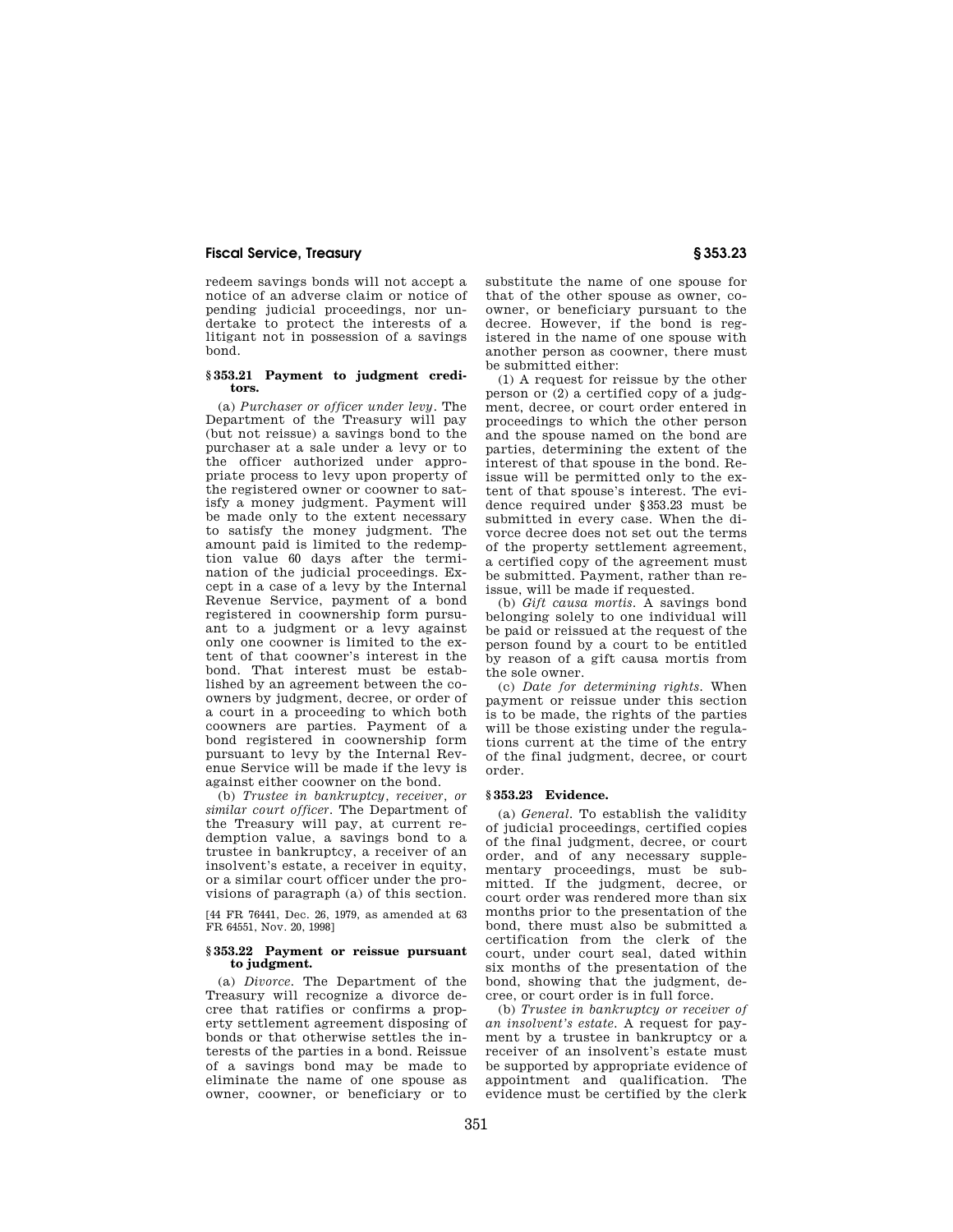redeem savings bonds will not accept a notice of an adverse claim or notice of pending judicial proceedings, nor undertake to protect the interests of a litigant not in possession of a savings bond.

#### **§ 353.21 Payment to judgment creditors.**

(a) *Purchaser or officer under levy.* The Department of the Treasury will pay (but not reissue) a savings bond to the purchaser at a sale under a levy or to .<br>the officer authorized under appropriate process to levy upon property of the registered owner or coowner to satisfy a money judgment. Payment will be made only to the extent necessary to satisfy the money judgment. The amount paid is limited to the redemption value 60 days after the termination of the judicial proceedings. Except in a case of a levy by the Internal Revenue Service, payment of a bond registered in coownership form pursuant to a judgment or a levy against only one coowner is limited to the extent of that coowner's interest in the bond. That interest must be established by an agreement between the coowners by judgment, decree, or order of a court in a proceeding to which both coowners are parties. Payment of a bond registered in coownership form pursuant to levy by the Internal Revenue Service will be made if the levy is against either coowner on the bond.

(b) *Trustee in bankruptcy, receiver, or similar court officer.* The Department of the Treasury will pay, at current redemption value, a savings bond to a trustee in bankruptcy, a receiver of an insolvent's estate, a receiver in equity, or a similar court officer under the provisions of paragraph (a) of this section.

[44 FR 76441, Dec. 26, 1979, as amended at 63 FR 64551, Nov. 20, 1998]

#### **§ 353.22 Payment or reissue pursuant to judgment.**

(a) *Divorce.* The Department of the Treasury will recognize a divorce decree that ratifies or confirms a property settlement agreement disposing of bonds or that otherwise settles the interests of the parties in a bond. Reissue of a savings bond may be made to eliminate the name of one spouse as owner, coowner, or beneficiary or to

substitute the name of one spouse for that of the other spouse as owner, coowner, or beneficiary pursuant to the decree. However, if the bond is registered in the name of one spouse with another person as coowner, there must be submitted either:

(1) A request for reissue by the other person or (2) a certified copy of a judgment, decree, or court order entered in proceedings to which the other person and the spouse named on the bond are parties, determining the extent of the interest of that spouse in the bond. Reissue will be permitted only to the extent of that spouse's interest. The evidence required under §353.23 must be submitted in every case. When the divorce decree does not set out the terms of the property settlement agreement, a certified copy of the agreement must be submitted. Payment, rather than reissue, will be made if requested.

(b) *Gift causa mortis.* A savings bond belonging solely to one individual will be paid or reissued at the request of the person found by a court to be entitled by reason of a gift causa mortis from the sole owner.

(c) *Date for determining rights.* When payment or reissue under this section is to be made, the rights of the parties will be those existing under the regulations current at the time of the entry of the final judgment, decree, or court order.

#### **§ 353.23 Evidence.**

(a) *General.* To establish the validity of judicial proceedings, certified copies of the final judgment, decree, or court order, and of any necessary supplementary proceedings, must be submitted. If the judgment, decree, or court order was rendered more than six months prior to the presentation of the bond, there must also be submitted a certification from the clerk of the court, under court seal, dated within six months of the presentation of the bond, showing that the judgment, decree, or court order is in full force.

(b) *Trustee in bankruptcy or receiver of an insolvent's estate.* A request for payment by a trustee in bankruptcy or a receiver of an insolvent's estate must be supported by appropriate evidence of appointment and qualification. The evidence must be certified by the clerk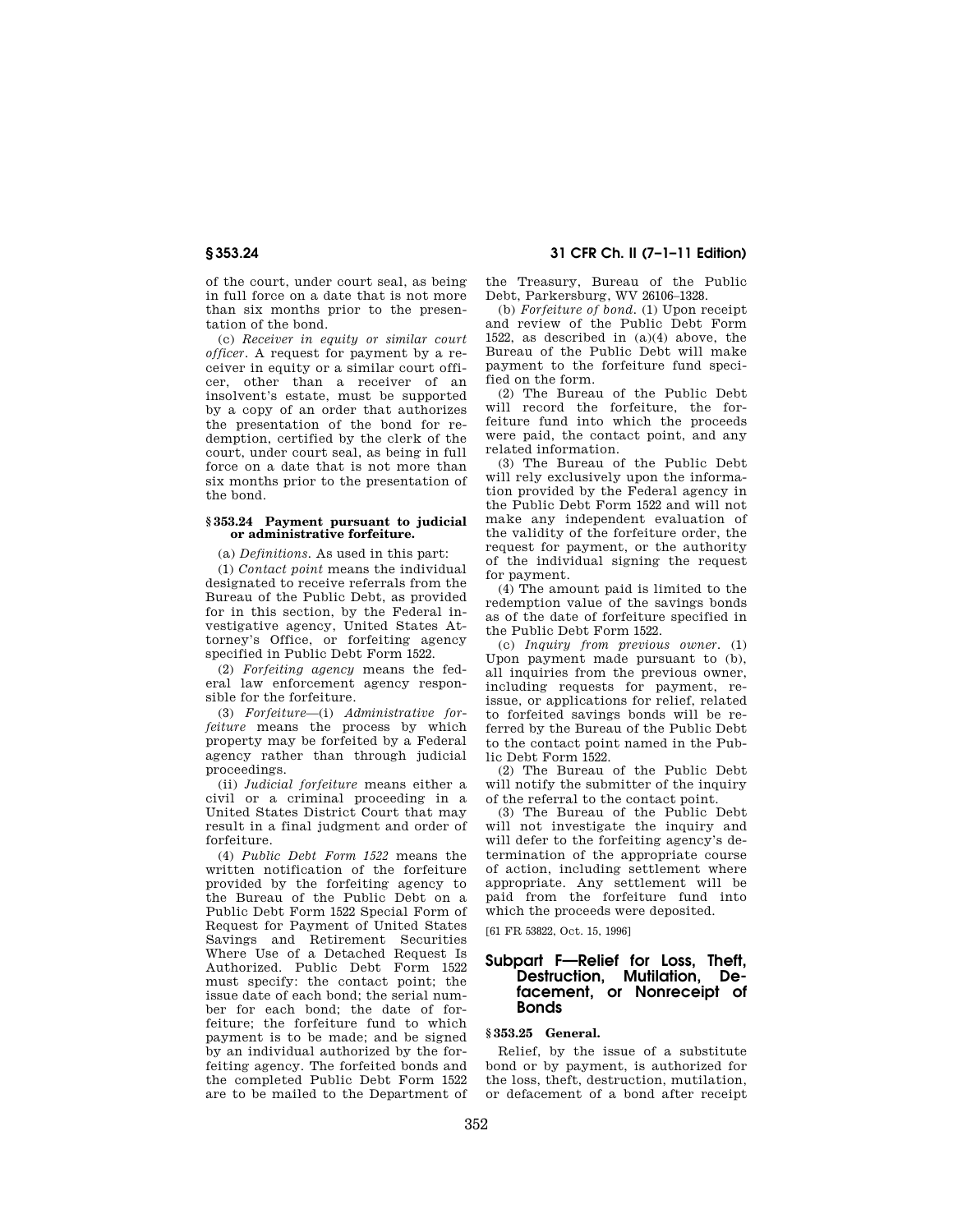of the court, under court seal, as being in full force on a date that is not more than six months prior to the presentation of the bond.

(c) *Receiver in equity or similar court officer.* A request for payment by a receiver in equity or a similar court officer, other than a receiver of an insolvent's estate, must be supported by a copy of an order that authorizes the presentation of the bond for redemption, certified by the clerk of the court, under court seal, as being in full force on a date that is not more than six months prior to the presentation of the bond.

#### **§ 353.24 Payment pursuant to judicial or administrative forfeiture.**

(a) *Definitions.* As used in this part:

(1) *Contact point* means the individual designated to receive referrals from the Bureau of the Public Debt, as provided for in this section, by the Federal investigative agency, United States Attorney's Office, or forfeiting agency specified in Public Debt Form 1522.

(2) *Forfeiting agency* means the federal law enforcement agency responsible for the forfeiture.

(3) *Forfeiture*—(i) *Administrative forfeiture* means the process by which property may be forfeited by a Federal agency rather than through judicial proceedings.

(ii) *Judicial forfeiture* means either a civil or a criminal proceeding in a United States District Court that may result in a final judgment and order of forfeiture.

(4) *Public Debt Form 1522* means the written notification of the forfeiture provided by the forfeiting agency to the Bureau of the Public Debt on a Public Debt Form 1522 Special Form of Request for Payment of United States Savings and Retirement Securities Where Use of a Detached Request Is Authorized. Public Debt Form 1522 must specify: the contact point; the issue date of each bond; the serial number for each bond; the date of forfeiture; the forfeiture fund to which payment is to be made; and be signed by an individual authorized by the forfeiting agency. The forfeited bonds and the completed Public Debt Form 1522 are to be mailed to the Department of

# **§ 353.24 31 CFR Ch. II (7–1–11 Edition)**

the Treasury, Bureau of the Public Debt, Parkersburg, WV 26106–1328.

(b) *Forfeiture of bond.* (1) Upon receipt and review of the Public Debt Form 1522, as described in (a)(4) above, the Bureau of the Public Debt will make payment to the forfeiture fund specified on the form.

(2) The Bureau of the Public Debt will record the forfeiture, the forfeiture fund into which the proceeds were paid, the contact point, and any related information.

(3) The Bureau of the Public Debt will rely exclusively upon the information provided by the Federal agency in the Public Debt Form 1522 and will not make any independent evaluation of the validity of the forfeiture order, the request for payment, or the authority of the individual signing the request for payment.

(4) The amount paid is limited to the redemption value of the savings bonds as of the date of forfeiture specified in the Public Debt Form 1522.

(c) *Inquiry from previous owner.* (1) Upon payment made pursuant to (b), all inquiries from the previous owner, including requests for payment, reissue, or applications for relief, related to forfeited savings bonds will be referred by the Bureau of the Public Debt to the contact point named in the Public Debt Form 1522.

(2) The Bureau of the Public Debt will notify the submitter of the inquiry of the referral to the contact point.

(3) The Bureau of the Public Debt will not investigate the inquiry and will defer to the forfeiting agency's determination of the appropriate course of action, including settlement where appropriate. Any settlement will be paid from the forfeiture fund into which the proceeds were deposited.

[61 FR 53822, Oct. 15, 1996]

# **Subpart F—Relief for Loss, Theft, Destruction, Mutilation, Defacement, or Nonreceipt of Bonds**

# **§ 353.25 General.**

Relief, by the issue of a substitute bond or by payment, is authorized for the loss, theft, destruction, mutilation, or defacement of a bond after receipt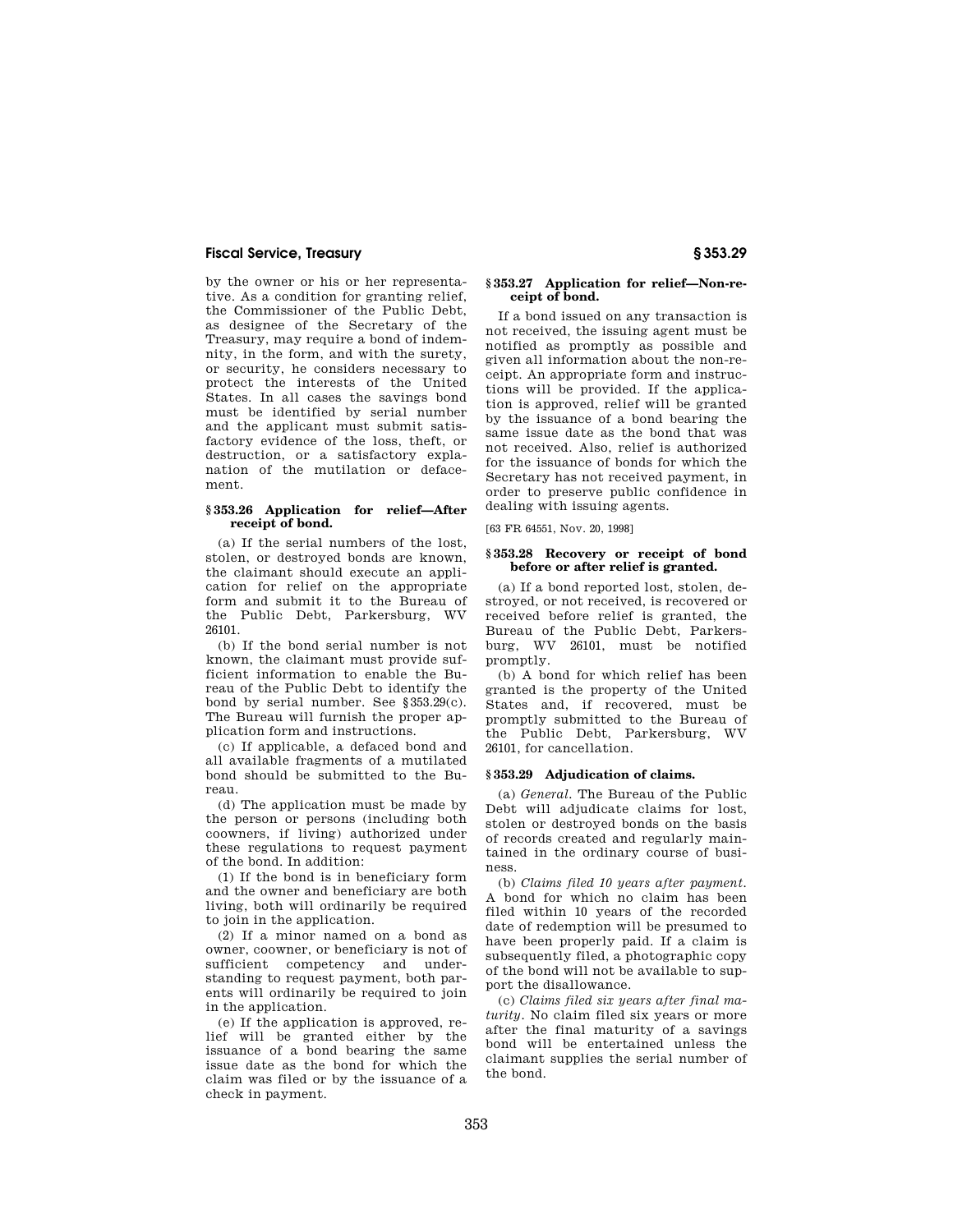by the owner or his or her representative. As a condition for granting relief, the Commissioner of the Public Debt, as designee of the Secretary of the Treasury, may require a bond of indemnity, in the form, and with the surety, or security, he considers necessary to protect the interests of the United States. In all cases the savings bond must be identified by serial number and the applicant must submit satisfactory evidence of the loss, theft, or destruction, or a satisfactory explanation of the mutilation or defacement.

#### **§ 353.26 Application for relief—After receipt of bond.**

(a) If the serial numbers of the lost, stolen, or destroyed bonds are known, the claimant should execute an application for relief on the appropriate form and submit it to the Bureau of the Public Debt, Parkersburg, WV 26101.

(b) If the bond serial number is not known, the claimant must provide sufficient information to enable the Bureau of the Public Debt to identify the bond by serial number. See §353.29(c). The Bureau will furnish the proper application form and instructions.

(c) If applicable, a defaced bond and all available fragments of a mutilated bond should be submitted to the Bureau.

(d) The application must be made by the person or persons (including both coowners, if living) authorized under these regulations to request payment of the bond. In addition:

(1) If the bond is in beneficiary form and the owner and beneficiary are both living, both will ordinarily be required to join in the application.

(2) If a minor named on a bond as owner, coowner, or beneficiary is not of sufficient competency and understanding to request payment, both parents will ordinarily be required to join in the application.

(e) If the application is approved, relief will be granted either by the issuance of a bond bearing the same issue date as the bond for which the claim was filed or by the issuance of a check in payment.

## **§ 353.27 Application for relief—Non-receipt of bond.**

If a bond issued on any transaction is not received, the issuing agent must be notified as promptly as possible and given all information about the non-receipt. An appropriate form and instructions will be provided. If the application is approved, relief will be granted by the issuance of a bond bearing the same issue date as the bond that was not received. Also, relief is authorized for the issuance of bonds for which the Secretary has not received payment, in order to preserve public confidence in dealing with issuing agents.

[63 FR 64551, Nov. 20, 1998]

#### **§ 353.28 Recovery or receipt of bond before or after relief is granted.**

(a) If a bond reported lost, stolen, destroyed, or not received, is recovered or received before relief is granted, the Bureau of the Public Debt, Parkersburg, WV 26101, must be notified promptly.

(b) A bond for which relief has been granted is the property of the United States and, if recovered, must be promptly submitted to the Bureau of the Public Debt, Parkersburg, WV 26101, for cancellation.

#### **§ 353.29 Adjudication of claims.**

(a) *General.* The Bureau of the Public Debt will adjudicate claims for lost, stolen or destroyed bonds on the basis of records created and regularly maintained in the ordinary course of business.

(b) *Claims filed 10 years after payment.*  A bond for which no claim has been filed within 10 years of the recorded date of redemption will be presumed to have been properly paid. If a claim is subsequently filed, a photographic copy of the bond will not be available to support the disallowance.

(c) *Claims filed six years after final maturity.* No claim filed six years or more after the final maturity of a savings bond will be entertained unless the claimant supplies the serial number of the bond.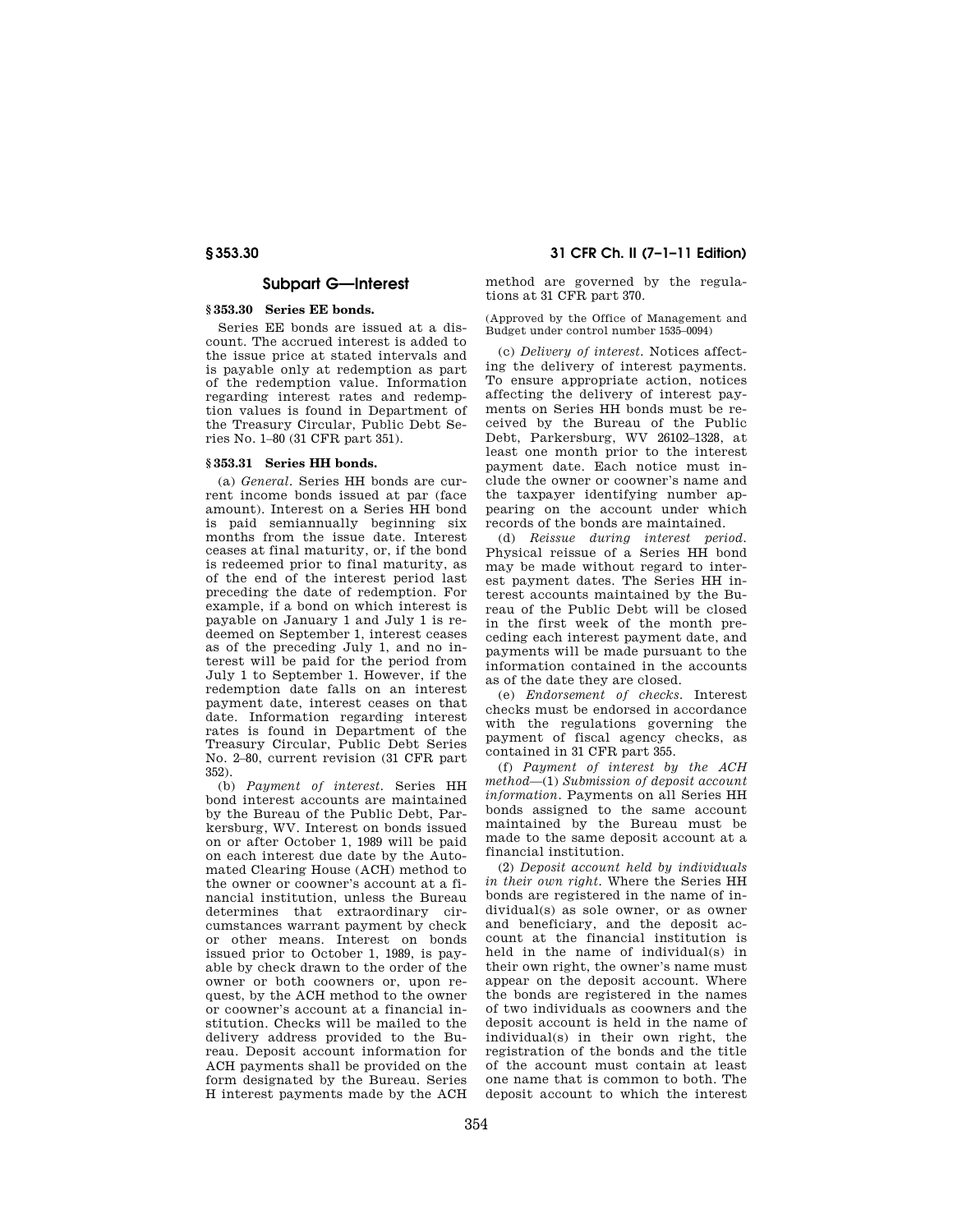# **Subpart G—Interest**

#### **§ 353.30 Series EE bonds.**

Series EE bonds are issued at a discount. The accrued interest is added to the issue price at stated intervals and is payable only at redemption as part of the redemption value. Information regarding interest rates and redemption values is found in Department of the Treasury Circular, Public Debt Series No. 1–80 (31 CFR part 351).

### **§ 353.31 Series HH bonds.**

(a) *General.* Series HH bonds are current income bonds issued at par (face amount). Interest on a Series HH bond is paid semiannually beginning six months from the issue date. Interest ceases at final maturity, or, if the bond is redeemed prior to final maturity, as of the end of the interest period last preceding the date of redemption. For example, if a bond on which interest is payable on January 1 and July 1 is redeemed on September 1, interest ceases as of the preceding July 1, and no interest will be paid for the period from July 1 to September 1. However, if the redemption date falls on an interest payment date, interest ceases on that date. Information regarding interest rates is found in Department of the Treasury Circular, Public Debt Series No. 2–80, current revision (31 CFR part 352).

(b) *Payment of interest.* Series HH bond interest accounts are maintained by the Bureau of the Public Debt, Parkersburg, WV. Interest on bonds issued on or after October 1, 1989 will be paid on each interest due date by the Automated Clearing House (ACH) method to the owner or coowner's account at a financial institution, unless the Bureau determines that extraordinary circumstances warrant payment by check or other means. Interest on bonds issued prior to October 1, 1989, is payable by check drawn to the order of the owner or both coowners or, upon request, by the ACH method to the owner or coowner's account at a financial institution. Checks will be mailed to the delivery address provided to the Bureau. Deposit account information for ACH payments shall be provided on the form designated by the Bureau. Series H interest payments made by the ACH

**§ 353.30 31 CFR Ch. II (7–1–11 Edition)** 

method are governed by the regulations at 31 CFR part 370.

(Approved by the Office of Management and Budget under control number 1535–0094)

(c) *Delivery of interest.* Notices affecting the delivery of interest payments. To ensure appropriate action, notices affecting the delivery of interest payments on Series HH bonds must be received by the Bureau of the Public Debt, Parkersburg, WV 26102–1328, at least one month prior to the interest payment date. Each notice must include the owner or coowner's name and the taxpayer identifying number appearing on the account under which records of the bonds are maintained.

(d) *Reissue during interest period.*  Physical reissue of a Series HH bond may be made without regard to interest payment dates. The Series HH interest accounts maintained by the Bureau of the Public Debt will be closed in the first week of the month preceding each interest payment date, and payments will be made pursuant to the information contained in the accounts as of the date they are closed.

(e) *Endorsement of checks.* Interest checks must be endorsed in accordance with the regulations governing the payment of fiscal agency checks, as contained in 31 CFR part 355.

(f) *Payment of interest by the ACH method*—(1) *Submission of deposit account information.* Payments on all Series HH bonds assigned to the same account maintained by the Bureau must be made to the same deposit account at a financial institution.

(2) *Deposit account held by individuals in their own right.* Where the Series HH bonds are registered in the name of individual(s) as sole owner, or as owner and beneficiary, and the deposit account at the financial institution is held in the name of individual(s) in their own right, the owner's name must appear on the deposit account. Where the bonds are registered in the names of two individuals as coowners and the deposit account is held in the name of individual(s) in their own right, the registration of the bonds and the title of the account must contain at least one name that is common to both. The deposit account to which the interest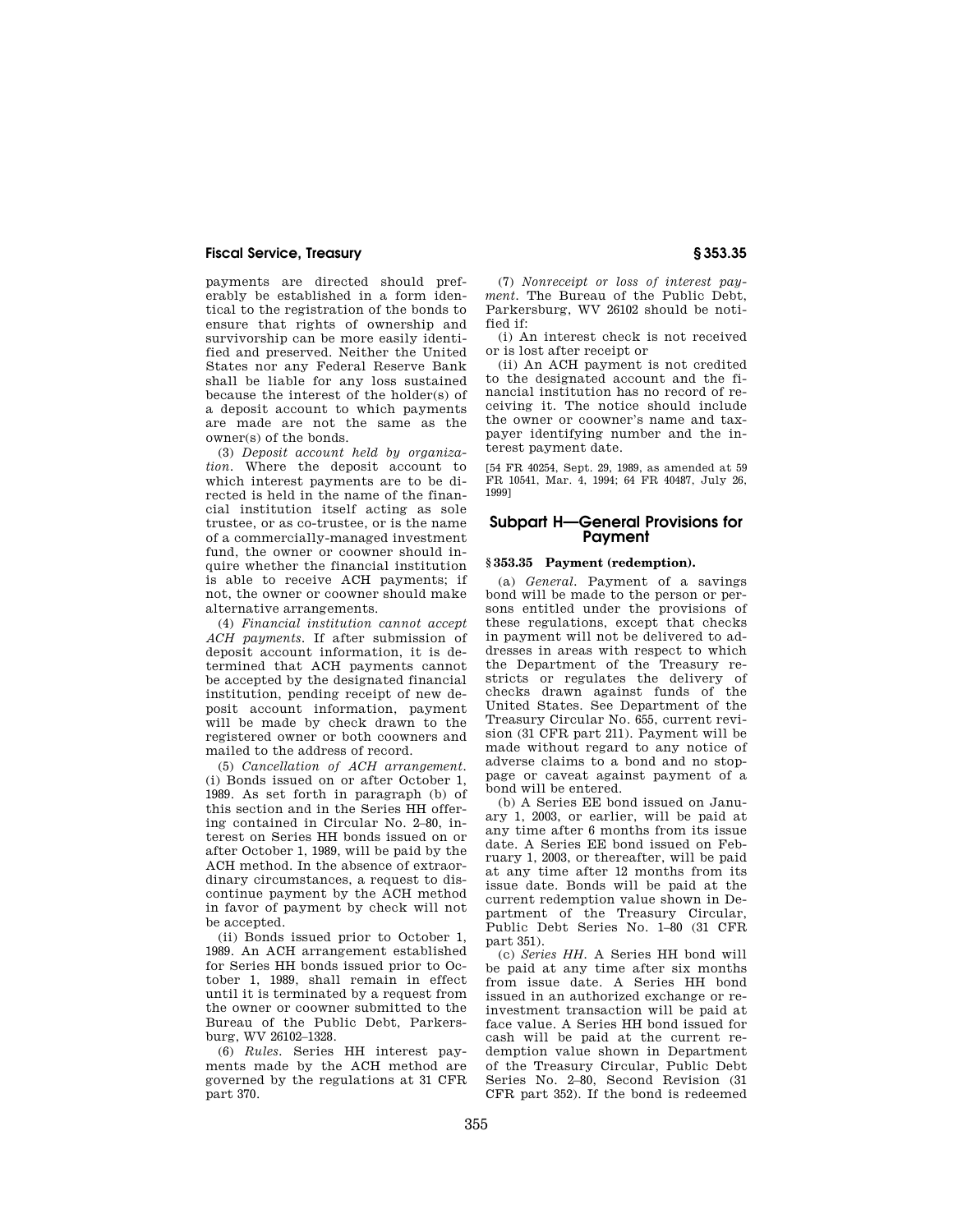payments are directed should preferably be established in a form identical to the registration of the bonds to ensure that rights of ownership and survivorship can be more easily identified and preserved. Neither the United States nor any Federal Reserve Bank shall be liable for any loss sustained because the interest of the holder(s) of a deposit account to which payments are made are not the same as the owner(s) of the bonds.

(3) *Deposit account held by organization.* Where the deposit account to which interest payments are to be directed is held in the name of the financial institution itself acting as sole trustee, or as co-trustee, or is the name of a commercially-managed investment fund, the owner or coowner should inquire whether the financial institution is able to receive ACH payments; if not, the owner or coowner should make alternative arrangements.

(4) *Financial institution cannot accept ACH payments.* If after submission of deposit account information, it is determined that ACH payments cannot be accepted by the designated financial institution, pending receipt of new deposit account information, payment will be made by check drawn to the registered owner or both coowners and mailed to the address of record.

(5) *Cancellation of ACH arrangement.*  (i) Bonds issued on or after October 1, 1989. As set forth in paragraph (b) of this section and in the Series HH offering contained in Circular No. 2–80, interest on Series HH bonds issued on or after October 1, 1989, will be paid by the ACH method. In the absence of extraordinary circumstances, a request to discontinue payment by the ACH method in favor of payment by check will not be accepted.

(ii) Bonds issued prior to October 1, 1989. An ACH arrangement established for Series HH bonds issued prior to October 1, 1989, shall remain in effect until it is terminated by a request from the owner or coowner submitted to the Bureau of the Public Debt, Parkersburg, WV 26102–1328.

(6) *Rules.* Series HH interest payments made by the ACH method are governed by the regulations at 31 CFR part 370.

(7) *Nonreceipt or loss of interest payment.* The Bureau of the Public Debt, Parkersburg, WV 26102 should be notified if:

(i) An interest check is not received or is lost after receipt or

(ii) An ACH payment is not credited to the designated account and the financial institution has no record of receiving it. The notice should include the owner or coowner's name and taxpayer identifying number and the interest payment date.

[54 FR 40254, Sept. 29, 1989, as amended at 59 FR 10541, Mar. 4, 1994; 64 FR 40487, July 26, 1999]

# **Subpart H—General Provisions for Payment**

## **§ 353.35 Payment (redemption).**

(a) *General.* Payment of a savings bond will be made to the person or persons entitled under the provisions of these regulations, except that checks in payment will not be delivered to addresses in areas with respect to which the Department of the Treasury restricts or regulates the delivery of checks drawn against funds of the United States. See Department of the Treasury Circular No. 655, current revision (31 CFR part 211). Payment will be made without regard to any notice of adverse claims to a bond and no stoppage or caveat against payment of a bond will be entered.

(b) A Series EE bond issued on January 1, 2003, or earlier, will be paid at any time after 6 months from its issue date. A Series EE bond issued on February 1, 2003, or thereafter, will be paid at any time after 12 months from its issue date. Bonds will be paid at the current redemption value shown in Department of the Treasury Circular, Public Debt Series No. 1–80 (31 CFR part 351).

(c) *Series HH.* A Series HH bond will be paid at any time after six months from issue date. A Series HH bond issued in an authorized exchange or reinvestment transaction will be paid at face value. A Series HH bond issued for cash will be paid at the current redemption value shown in Department of the Treasury Circular, Public Debt Series No. 2–80, Second Revision (31 CFR part 352). If the bond is redeemed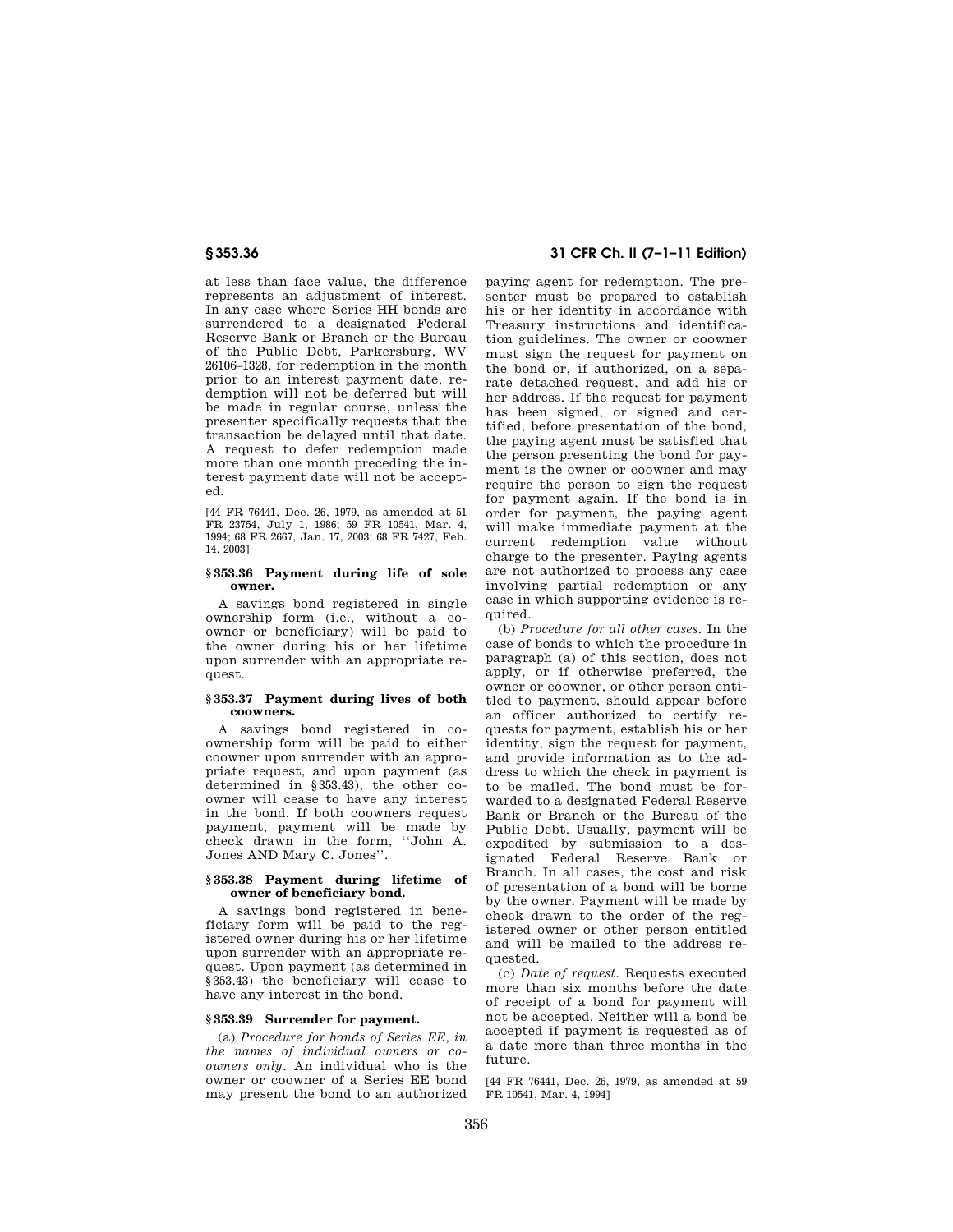at less than face value, the difference represents an adjustment of interest. In any case where Series HH bonds are surrendered to a designated Federal Reserve Bank or Branch or the Bureau of the Public Debt, Parkersburg, WV 26106–1328, for redemption in the month prior to an interest payment date, redemption will not be deferred but will be made in regular course, unless the presenter specifically requests that the transaction be delayed until that date. A request to defer redemption made more than one month preceding the interest payment date will not be accepted.

[44 FR 76441, Dec. 26, 1979, as amended at 51 FR 23754, July 1, 1986; 59 FR 10541, Mar. 4, 1994; 68 FR 2667, Jan. 17, 2003; 68 FR 7427, Feb. 14, 2003]

#### **§ 353.36 Payment during life of sole owner.**

A savings bond registered in single ownership form (i.e., without a coowner or beneficiary) will be paid to the owner during his or her lifetime upon surrender with an appropriate request.

#### **§ 353.37 Payment during lives of both coowners.**

A savings bond registered in coownership form will be paid to either coowner upon surrender with an appropriate request, and upon payment (as determined in §353.43), the other coowner will cease to have any interest in the bond. If both coowners request payment, payment will be made by check drawn in the form, ''John A. Jones AND Mary C. Jones''.

### **§ 353.38 Payment during lifetime of owner of beneficiary bond.**

A savings bond registered in beneficiary form will be paid to the registered owner during his or her lifetime upon surrender with an appropriate request. Upon payment (as determined in §353.43) the beneficiary will cease to have any interest in the bond.

### **§ 353.39 Surrender for payment.**

(a) *Procedure for bonds of Series EE, in the names of individual owners or coowners only.* An individual who is the owner or coowner of a Series EE bond may present the bond to an authorized

# **§ 353.36 31 CFR Ch. II (7–1–11 Edition)**

paying agent for redemption. The presenter must be prepared to establish his or her identity in accordance with Treasury instructions and identification guidelines. The owner or coowner must sign the request for payment on the bond or, if authorized, on a separate detached request, and add his or her address. If the request for payment has been signed, or signed and certified, before presentation of the bond, the paying agent must be satisfied that the person presenting the bond for payment is the owner or coowner and may require the person to sign the request for payment again. If the bond is in order for payment, the paying agent will make immediate payment at the current redemption value without charge to the presenter. Paying agents are not authorized to process any case involving partial redemption or any case in which supporting evidence is required.

(b) *Procedure for all other cases.* In the case of bonds to which the procedure in paragraph (a) of this section, does not apply, or if otherwise preferred, the owner or coowner, or other person entitled to payment, should appear before an officer authorized to certify requests for payment, establish his or her identity, sign the request for payment, and provide information as to the address to which the check in payment is to be mailed. The bond must be forwarded to a designated Federal Reserve Bank or Branch or the Bureau of the Public Debt. Usually, payment will be expedited by submission to a designated Federal Reserve Bank or Branch. In all cases, the cost and risk of presentation of a bond will be borne by the owner. Payment will be made by check drawn to the order of the registered owner or other person entitled and will be mailed to the address requested.

(c) *Date of request.* Requests executed more than six months before the date of receipt of a bond for payment will not be accepted. Neither will a bond be accepted if payment is requested as of a date more than three months in the future.

[44 FR 76441, Dec. 26, 1979, as amended at 59 FR 10541, Mar. 4, 1994]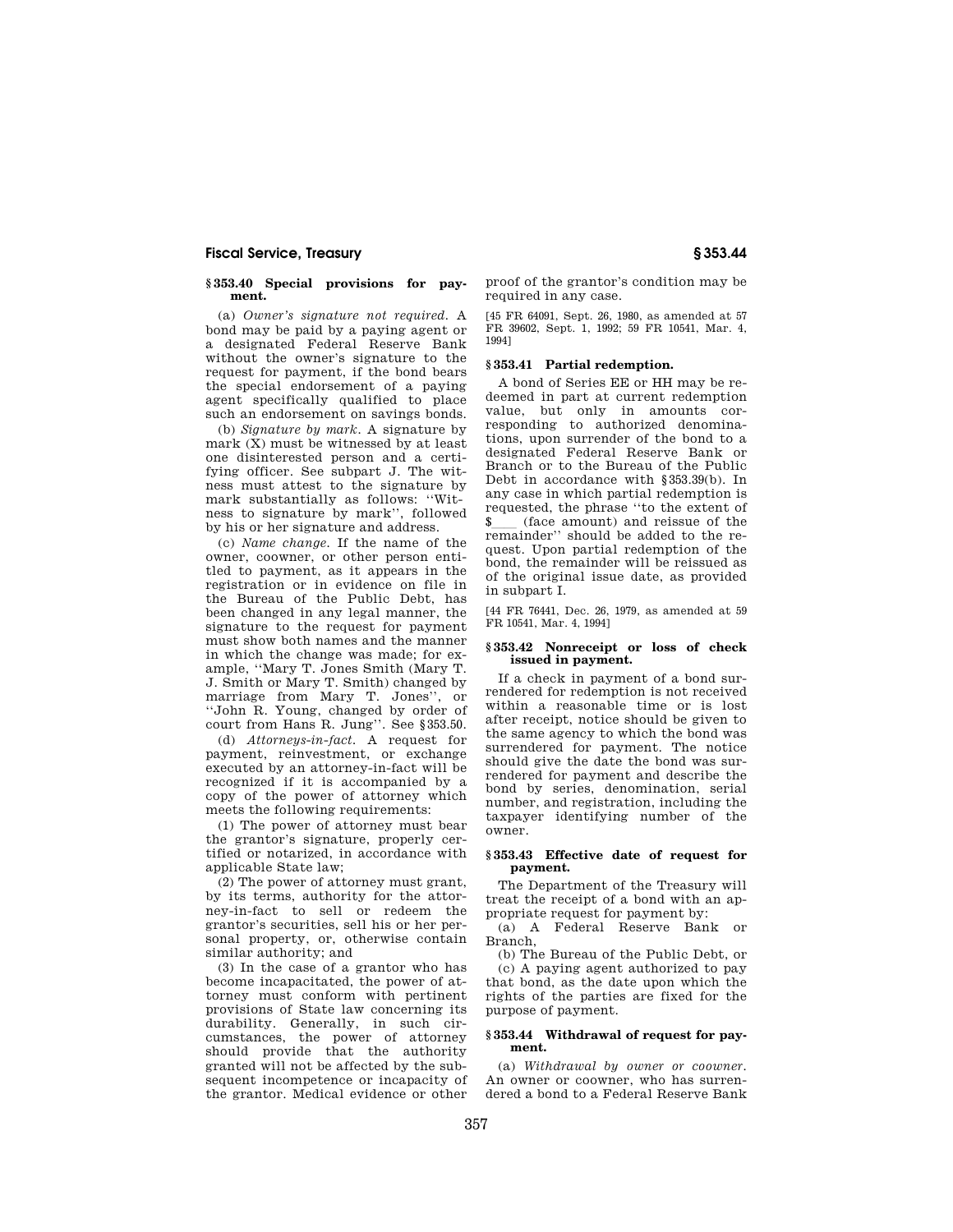#### **§ 353.40 Special provisions for payment.**

(a) *Owner's signature not required.* A bond may be paid by a paying agent or a designated Federal Reserve Bank without the owner's signature to the request for payment, if the bond bears the special endorsement of a paying agent specifically qualified to place such an endorsement on savings bonds.

(b) *Signature by mark.* A signature by mark (X) must be witnessed by at least one disinterested person and a certifying officer. See subpart J. The witness must attest to the signature by mark substantially as follows: ''Witness to signature by mark'', followed by his or her signature and address.

(c) *Name change.* If the name of the owner, coowner, or other person entitled to payment, as it appears in the registration or in evidence on file in the Bureau of the Public Debt, has been changed in any legal manner, the signature to the request for payment must show both names and the manner in which the change was made; for example, ''Mary T. Jones Smith (Mary T. J. Smith or Mary T. Smith) changed by marriage from Mary T. Jones'', or ''John R. Young, changed by order of court from Hans R. Jung''. See §353.50.

(d) *Attorneys-in-fact.* A request for payment, reinvestment, or exchange executed by an attorney-in-fact will be recognized if it is accompanied by a copy of the power of attorney which meets the following requirements:

(1) The power of attorney must bear the grantor's signature, properly certified or notarized, in accordance with applicable State law;

(2) The power of attorney must grant, by its terms, authority for the attorney-in-fact to sell or redeem the grantor's securities, sell his or her personal property, or, otherwise contain similar authority; and

(3) In the case of a grantor who has become incapacitated, the power of attorney must conform with pertinent provisions of State law concerning its durability. Generally, in such circumstances, the power of attorney should provide that the authority granted will not be affected by the subsequent incompetence or incapacity of the grantor. Medical evidence or other

proof of the grantor's condition may be required in any case.

[45 FR 64091, Sept. 26, 1980, as amended at 57 FR 39602, Sept. 1, 1992; 59 FR 10541, Mar. 4, 1994]

# **§ 353.41 Partial redemption.**

A bond of Series EE or HH may be redeemed in part at current redemption value, but only in amounts corresponding to authorized denominations, upon surrender of the bond to a designated Federal Reserve Bank or Branch or to the Bureau of the Public Debt in accordance with §353.39(b). In any case in which partial redemption is requested, the phrase ''to the extent of \$ll (face amount) and reissue of the remainder'' should be added to the request. Upon partial redemption of the bond, the remainder will be reissued as of the original issue date, as provided in subpart I.

[44 FR 76441, Dec. 26, 1979, as amended at 59 FR 10541, Mar. 4, 1994]

#### **§ 353.42 Nonreceipt or loss of check issued in payment.**

If a check in payment of a bond surrendered for redemption is not received within a reasonable time or is lost after receipt, notice should be given to the same agency to which the bond was surrendered for payment. The notice should give the date the bond was surrendered for payment and describe the bond by series, denomination, serial number, and registration, including the taxpayer identifying number of the owner.

## **§ 353.43 Effective date of request for payment.**

The Department of the Treasury will treat the receipt of a bond with an appropriate request for payment by:

(a) A Federal Reserve Bank or Branch,

(b) The Bureau of the Public Debt, or (c) A paying agent authorized to pay that bond, as the date upon which the rights of the parties are fixed for the purpose of payment.

#### **§ 353.44 Withdrawal of request for payment.**

(a) *Withdrawal by owner or coowner.*  An owner or coowner, who has surrendered a bond to a Federal Reserve Bank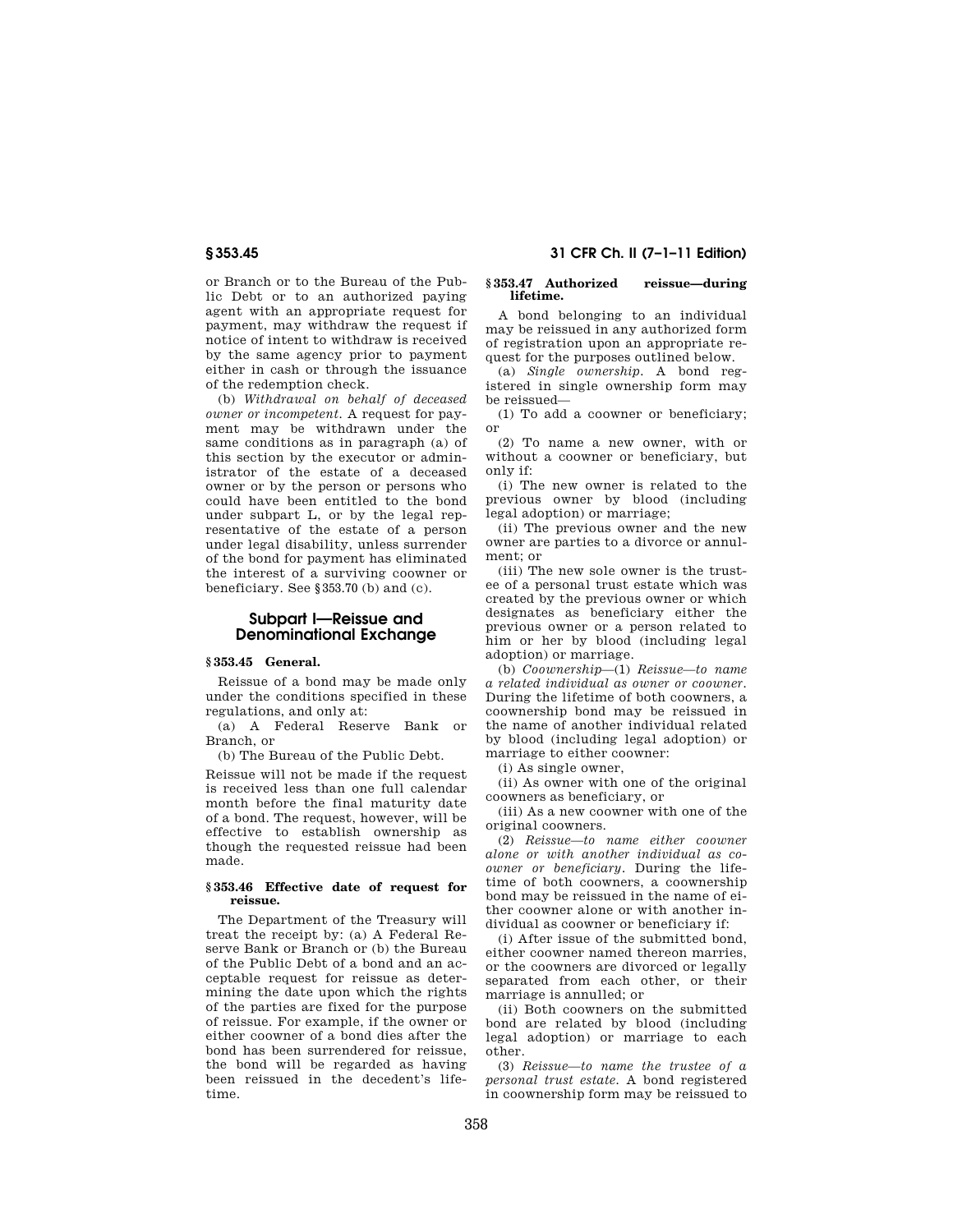or Branch or to the Bureau of the Public Debt or to an authorized paying agent with an appropriate request for payment, may withdraw the request if notice of intent to withdraw is received by the same agency prior to payment either in cash or through the issuance of the redemption check.

(b) *Withdrawal on behalf of deceased owner or incompetent.* A request for payment may be withdrawn under the same conditions as in paragraph (a) of this section by the executor or administrator of the estate of a deceased owner or by the person or persons who could have been entitled to the bond under subpart L, or by the legal representative of the estate of a person under legal disability, unless surrender of the bond for payment has eliminated the interest of a surviving coowner or beneficiary. See §353.70 (b) and (c).

# **Subpart I—Reissue and Denominational Exchange**

# **§ 353.45 General.**

Reissue of a bond may be made only under the conditions specified in these regulations, and only at:

(a) A Federal Reserve Bank or Branch, or

(b) The Bureau of the Public Debt.

Reissue will not be made if the request is received less than one full calendar month before the final maturity date of a bond. The request, however, will be effective to establish ownership as though the requested reissue had been made.

## **§ 353.46 Effective date of request for reissue.**

The Department of the Treasury will treat the receipt by: (a) A Federal Reserve Bank or Branch or (b) the Bureau of the Public Debt of a bond and an acceptable request for reissue as determining the date upon which the rights of the parties are fixed for the purpose of reissue. For example, if the owner or either coowner of a bond dies after the bond has been surrendered for reissue, the bond will be regarded as having been reissued in the decedent's lifetime.

# **§ 353.45 31 CFR Ch. II (7–1–11 Edition)**

#### **§ 353.47 Authorized reissue—during lifetime.**

A bond belonging to an individual may be reissued in any authorized form of registration upon an appropriate request for the purposes outlined below.

(a) *Single ownership.* A bond registered in single ownership form may be reissued—

(1) To add a coowner or beneficiary; or

(2) To name a new owner, with or without a coowner or beneficiary, but only if:

(i) The new owner is related to the previous owner by blood (including legal adoption) or marriage;

(ii) The previous owner and the new owner are parties to a divorce or annulment; or

(iii) The new sole owner is the trustee of a personal trust estate which was created by the previous owner or which designates as beneficiary either the previous owner or a person related to him or her by blood (including legal adoption) or marriage.

(b) *Coownership*—(1) *Reissue—to name a related individual as owner or coowner.*  During the lifetime of both coowners, a coownership bond may be reissued in the name of another individual related by blood (including legal adoption) or marriage to either coowner:

(i) As single owner,

(ii) As owner with one of the original coowners as beneficiary, or

(iii) As a new coowner with one of the original coowners.

(2) *Reissue—to name either coowner alone or with another individual as coowner or beneficiary.* During the lifetime of both coowners, a coownership bond may be reissued in the name of either coowner alone or with another individual as coowner or beneficiary if:

(i) After issue of the submitted bond, either coowner named thereon marries, or the coowners are divorced or legally separated from each other, or their marriage is annulled; or

(ii) Both coowners on the submitted bond are related by blood (including legal adoption) or marriage to each other.

(3) *Reissue—to name the trustee of a personal trust estate.* A bond registered in coownership form may be reissued to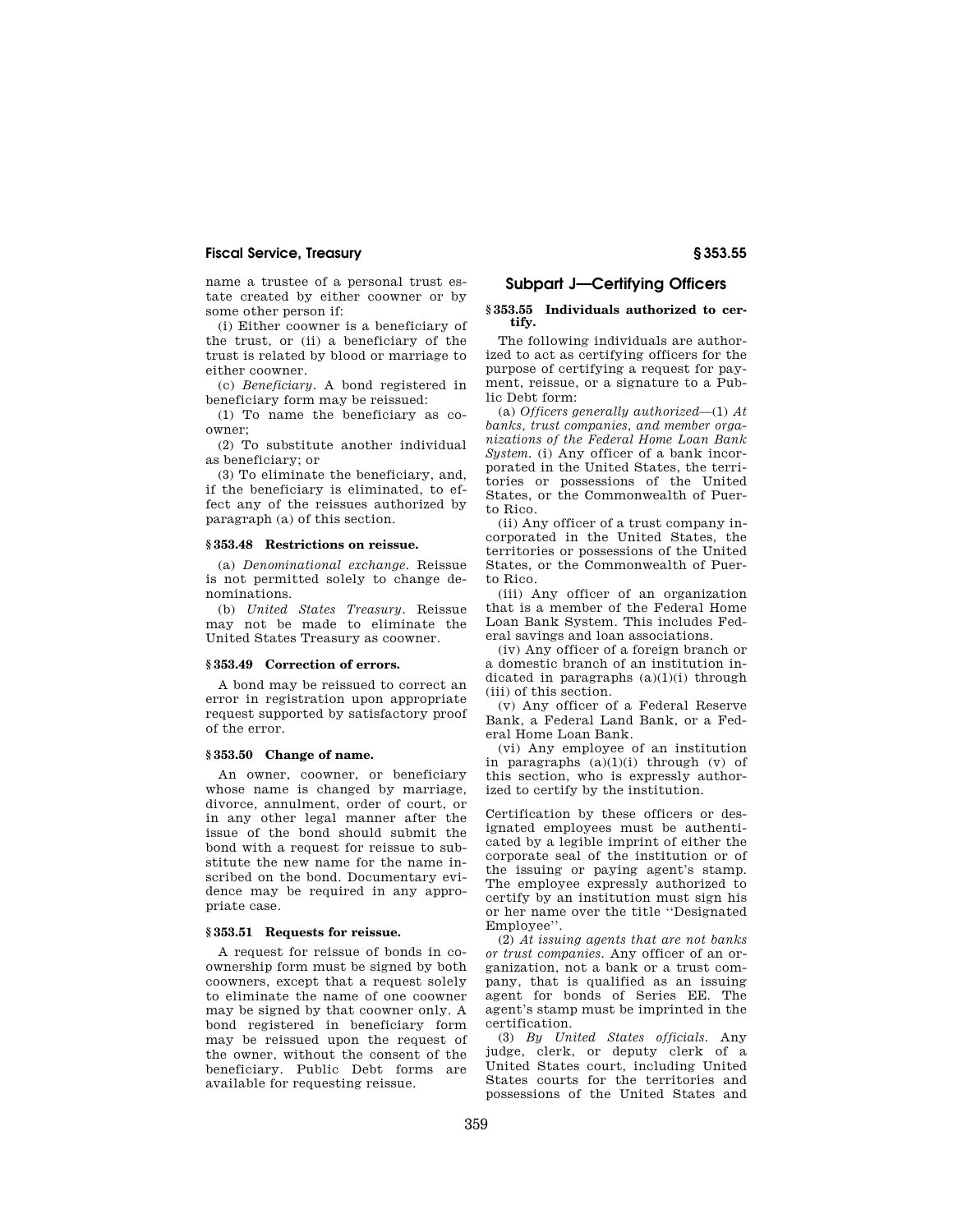name a trustee of a personal trust estate created by either coowner or by some other person if:

(i) Either coowner is a beneficiary of the trust, or (ii) a beneficiary of the trust is related by blood or marriage to either coowner.

(c) *Beneficiary.* A bond registered in beneficiary form may be reissued:

(1) To name the beneficiary as coowner;

(2) To substitute another individual as beneficiary; or

(3) To eliminate the beneficiary, and, if the beneficiary is eliminated, to effect any of the reissues authorized by paragraph (a) of this section.

# **§ 353.48 Restrictions on reissue.**

(a) *Denominational exchange.* Reissue is not permitted solely to change denominations.

(b) *United States Treasury.* Reissue may not be made to eliminate the United States Treasury as coowner.

#### **§ 353.49 Correction of errors.**

A bond may be reissued to correct an error in registration upon appropriate request supported by satisfactory proof of the error.

## **§ 353.50 Change of name.**

An owner, coowner, or beneficiary whose name is changed by marriage, divorce, annulment, order of court, or in any other legal manner after the issue of the bond should submit the bond with a request for reissue to substitute the new name for the name inscribed on the bond. Documentary evidence may be required in any appropriate case.

## **§ 353.51 Requests for reissue.**

A request for reissue of bonds in coownership form must be signed by both coowners, except that a request solely to eliminate the name of one coowner may be signed by that coowner only. A bond registered in beneficiary form may be reissued upon the request of the owner, without the consent of the beneficiary. Public Debt forms are available for requesting reissue.

# **Subpart J—Certifying Officers**

#### **§ 353.55 Individuals authorized to certify.**

The following individuals are authorized to act as certifying officers for the purpose of certifying a request for payment, reissue, or a signature to a Public Debt form:

(a) *Officers generally authorized*—(1) *At banks, trust companies, and member organizations of the Federal Home Loan Bank System.* (i) Any officer of a bank incorporated in the United States, the territories or possessions of the United States, or the Commonwealth of Puerto Rico.

(ii) Any officer of a trust company incorporated in the United States, the territories or possessions of the United States, or the Commonwealth of Puerto Rico.

(iii) Any officer of an organization that is a member of the Federal Home Loan Bank System. This includes Federal savings and loan associations.

(iv) Any officer of a foreign branch or a domestic branch of an institution indicated in paragraphs  $(a)(1)(i)$  through (iii) of this section.

(v) Any officer of a Federal Reserve Bank, a Federal Land Bank, or a Federal Home Loan Bank.

(vi) Any employee of an institution in paragraphs (a)(1)(i) through (v) of this section, who is expressly authorized to certify by the institution.

Certification by these officers or designated employees must be authenticated by a legible imprint of either the corporate seal of the institution or of the issuing or paying agent's stamp. The employee expressly authorized to certify by an institution must sign his or her name over the title ''Designated Employee''.

(2) *At issuing agents that are not banks or trust companies.* Any officer of an organization, not a bank or a trust company, that is qualified as an issuing agent for bonds of Series EE. The agent's stamp must be imprinted in the certification.

(3) *By United States officials.* Any judge, clerk, or deputy clerk of a United States court, including United States courts for the territories and possessions of the United States and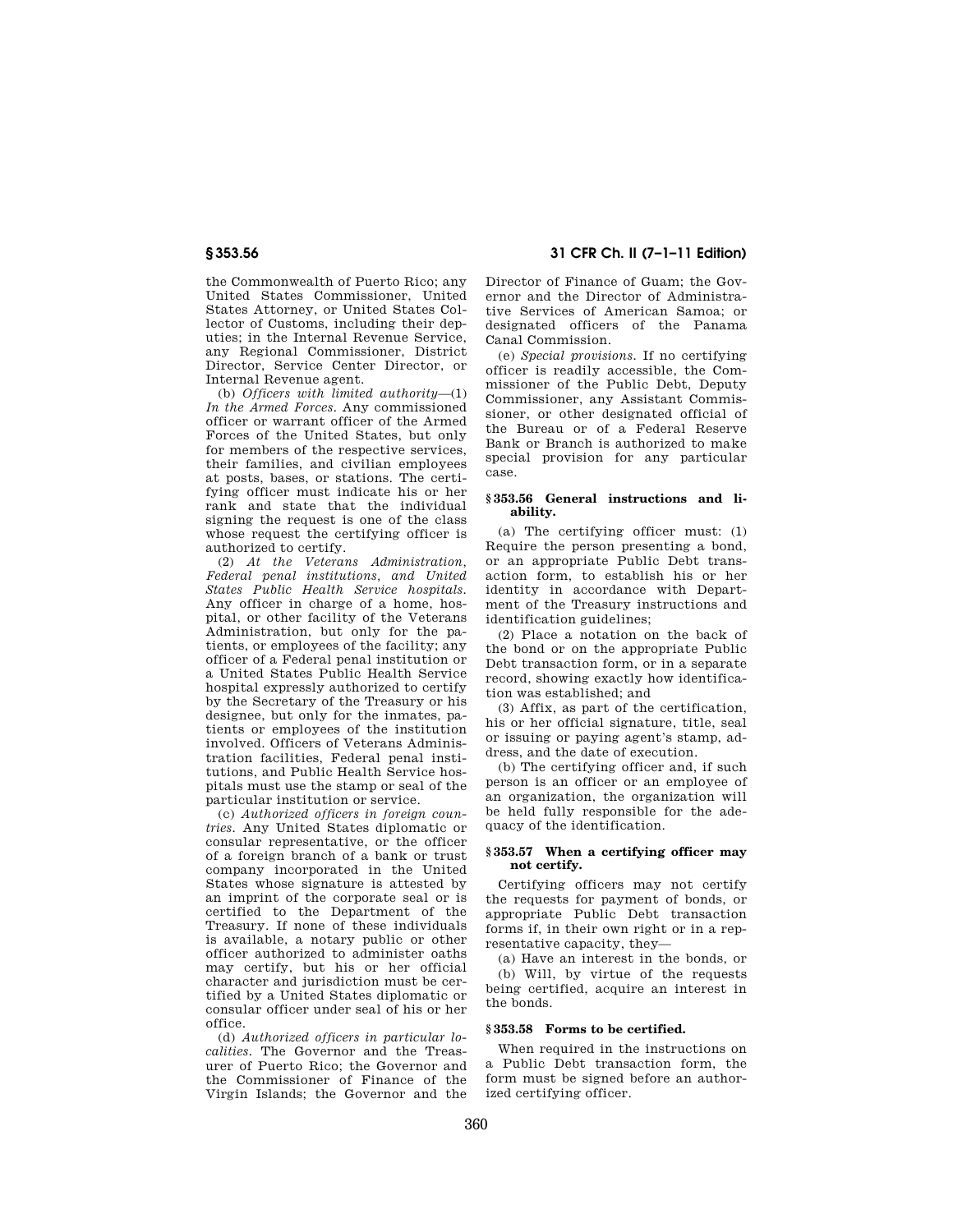the Commonwealth of Puerto Rico; any United States Commissioner, United States Attorney, or United States Collector of Customs, including their deputies; in the Internal Revenue Service, any Regional Commissioner, District Director, Service Center Director, or Internal Revenue agent.

(b) *Officers with limited authority*—(1) *In the Armed Forces.* Any commissioned officer or warrant officer of the Armed Forces of the United States, but only for members of the respective services their families, and civilian employees at posts, bases, or stations. The certifying officer must indicate his or her rank and state that the individual signing the request is one of the class whose request the certifying officer is authorized to certify.

(2) *At the Veterans Administration, Federal penal institutions, and United States Public Health Service hospitals.*  Any officer in charge of a home, hospital, or other facility of the Veterans Administration, but only for the patients, or employees of the facility; any officer of a Federal penal institution or a United States Public Health Service hospital expressly authorized to certify by the Secretary of the Treasury or his designee, but only for the inmates, patients or employees of the institution involved. Officers of Veterans Administration facilities, Federal penal institutions, and Public Health Service hospitals must use the stamp or seal of the particular institution or service.

(c) *Authorized officers in foreign countries.* Any United States diplomatic or consular representative, or the officer of a foreign branch of a bank or trust company incorporated in the United States whose signature is attested by an imprint of the corporate seal or is certified to the Department of the Treasury. If none of these individuals is available, a notary public or other officer authorized to administer oaths may certify, but his or her official character and jurisdiction must be certified by a United States diplomatic or consular officer under seal of his or her office.

(d) *Authorized officers in particular localities.* The Governor and the Treasurer of Puerto Rico; the Governor and the Commissioner of Finance of the Virgin Islands; the Governor and the

**§ 353.56 31 CFR Ch. II (7–1–11 Edition)** 

Director of Finance of Guam; the Governor and the Director of Administrative Services of American Samoa; or designated officers of the Panama Canal Commission.

(e) *Special provisions.* If no certifying officer is readily accessible, the Commissioner of the Public Debt, Deputy Commissioner, any Assistant Commissioner, or other designated official of the Bureau or of a Federal Reserve Bank or Branch is authorized to make special provision for any particular case.

## **§ 353.56 General instructions and liability.**

(a) The certifying officer must: (1) Require the person presenting a bond, or an appropriate Public Debt transaction form, to establish his or her identity in accordance with Department of the Treasury instructions and identification guidelines;

(2) Place a notation on the back of the bond or on the appropriate Public Debt transaction form, or in a separate record, showing exactly how identification was established; and

(3) Affix, as part of the certification, his or her official signature, title, seal or issuing or paying agent's stamp, address, and the date of execution.

(b) The certifying officer and, if such person is an officer or an employee of an organization, the organization will be held fully responsible for the adequacy of the identification.

# **§ 353.57 When a certifying officer may not certify.**

Certifying officers may not certify the requests for payment of bonds, or appropriate Public Debt transaction forms if, in their own right or in a representative capacity, they—

(a) Have an interest in the bonds, or (b) Will, by virtue of the requests being certified, acquire an interest in the bonds.

# **§ 353.58 Forms to be certified.**

When required in the instructions on a Public Debt transaction form, the form must be signed before an authorized certifying officer.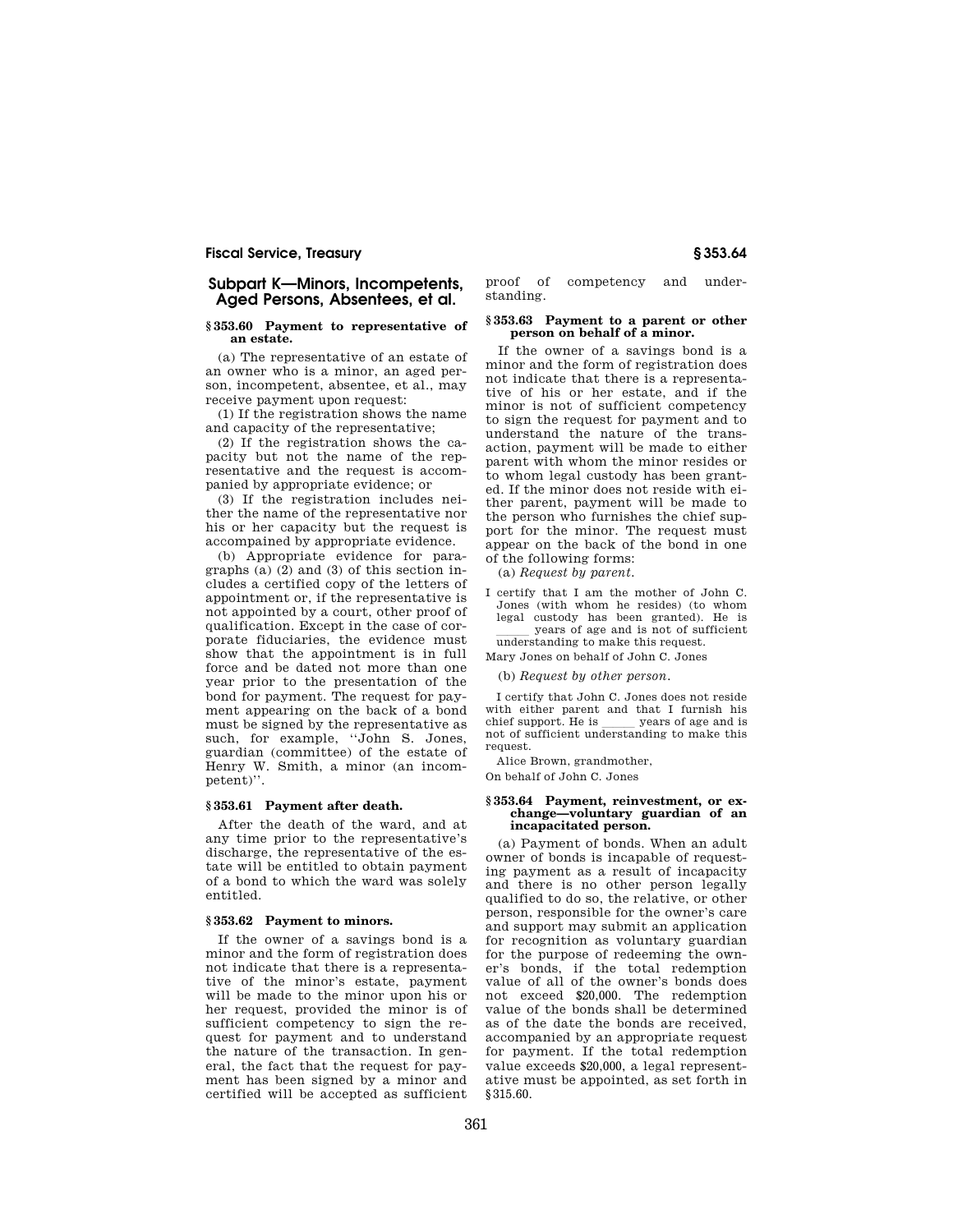# **Subpart K—Minors, Incompetents, Aged Persons, Absentees, et al.**

#### **§ 353.60 Payment to representative of an estate.**

(a) The representative of an estate of an owner who is a minor, an aged person, incompetent, absentee, et al., may receive payment upon request:

(1) If the registration shows the name and capacity of the representative;

(2) If the registration shows the capacity but not the name of the representative and the request is accompanied by appropriate evidence; or

(3) If the registration includes neither the name of the representative nor his or her capacity but the request is accompained by appropriate evidence.

(b) Appropriate evidence for paragraphs (a) (2) and (3) of this section includes a certified copy of the letters of appointment or, if the representative is not appointed by a court, other proof of qualification. Except in the case of corporate fiduciaries, the evidence must show that the appointment is in full force and be dated not more than one year prior to the presentation of the bond for payment. The request for payment appearing on the back of a bond must be signed by the representative as such, for example, ''John S. Jones, guardian (committee) of the estate of Henry W. Smith, a minor (an incompetent)''.

#### **§ 353.61 Payment after death.**

After the death of the ward, and at any time prior to the representative's discharge, the representative of the estate will be entitled to obtain payment of a bond to which the ward was solely entitled.

## **§ 353.62 Payment to minors.**

If the owner of a savings bond is a minor and the form of registration does not indicate that there is a representative of the minor's estate, payment will be made to the minor upon his or her request, provided the minor is of sufficient competency to sign the request for payment and to understand the nature of the transaction. In general, the fact that the request for payment has been signed by a minor and certified will be accepted as sufficient

proof of competency and understanding.

### **§ 353.63 Payment to a parent or other person on behalf of a minor.**

If the owner of a savings bond is a minor and the form of registration does not indicate that there is a representative of his or her estate, and if the minor is not of sufficient competency to sign the request for payment and to understand the nature of the transaction, payment will be made to either parent with whom the minor resides or to whom legal custody has been granted. If the minor does not reside with either parent, payment will be made to the person who furnishes the chief support for the minor. The request must appear on the back of the bond in one of the following forms:

(a) *Request by parent.* 

I certify that I am the mother of John C. Jones (with whom he resides) (to whom legal custody has been granted). He is years of age and is not of sufficient<br>understanding to make this request.

Mary Jones on behalf of John C. Jones

(b) *Request by other person.* 

I certify that John C. Jones does not reside with either parent and that I furnish his chief support. He is \_\_\_\_\_ years of age and is not of sufficient understanding to make this request.

Alice Brown, grandmother,

On behalf of John C. Jones

# **§ 353.64 Payment, reinvestment, or exchange—voluntary guardian of an incapacitated person.**

(a) Payment of bonds. When an adult owner of bonds is incapable of requesting payment as a result of incapacity and there is no other person legally qualified to do so, the relative, or other person, responsible for the owner's care and support may submit an application for recognition as voluntary guardian for the purpose of redeeming the owner's bonds, if the total redemption value of all of the owner's bonds does not exceed \$20,000. The redemption value of the bonds shall be determined as of the date the bonds are received, accompanied by an appropriate request for payment. If the total redemption value exceeds \$20,000, a legal representative must be appointed, as set forth in §315.60.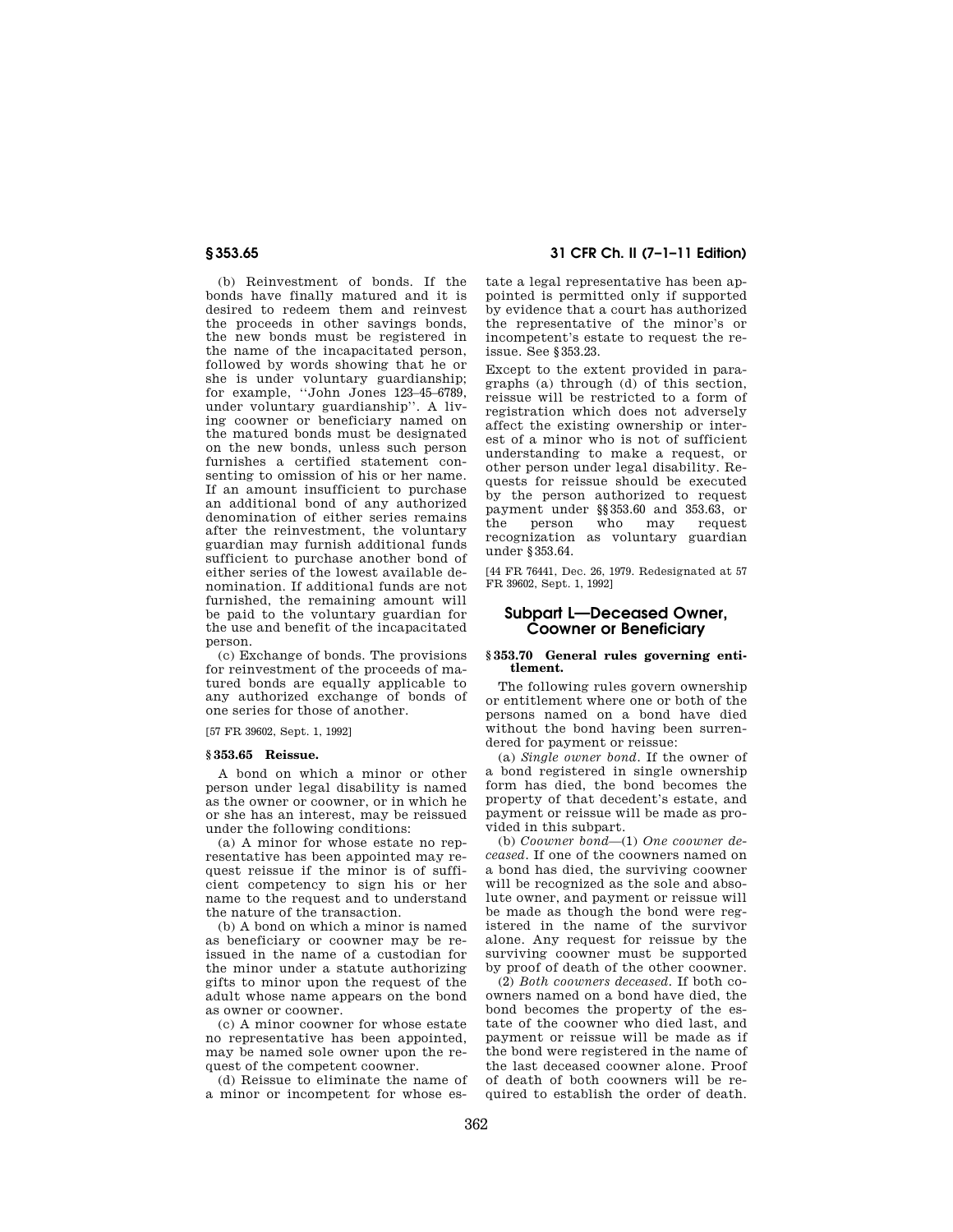(b) Reinvestment of bonds. If the bonds have finally matured and it is desired to redeem them and reinvest the proceeds in other savings bonds, the new bonds must be registered in the name of the incapacitated person, followed by words showing that he or she is under voluntary guardianship; for example, ''John Jones 123–45–6789, under voluntary guardianship''. A living coowner or beneficiary named on the matured bonds must be designated on the new bonds, unless such person furnishes a certified statement consenting to omission of his or her name. If an amount insufficient to purchase an additional bond of any authorized denomination of either series remains after the reinvestment, the voluntary guardian may furnish additional funds sufficient to purchase another bond of either series of the lowest available denomination. If additional funds are not furnished, the remaining amount will be paid to the voluntary guardian for the use and benefit of the incapacitated person.

(c) Exchange of bonds. The provisions for reinvestment of the proceeds of matured bonds are equally applicable to any authorized exchange of bonds of one series for those of another.

[57 FR 39602, Sept. 1, 1992]

## **§ 353.65 Reissue.**

A bond on which a minor or other person under legal disability is named as the owner or coowner, or in which he or she has an interest, may be reissued under the following conditions:

(a) A minor for whose estate no representative has been appointed may request reissue if the minor is of sufficient competency to sign his or her name to the request and to understand the nature of the transaction.

(b) A bond on which a minor is named as beneficiary or coowner may be reissued in the name of a custodian for the minor under a statute authorizing gifts to minor upon the request of the adult whose name appears on the bond as owner or coowner.

(c) A minor coowner for whose estate no representative has been appointed, may be named sole owner upon the request of the competent coowner.

(d) Reissue to eliminate the name of a minor or incompetent for whose es-

# **§ 353.65 31 CFR Ch. II (7–1–11 Edition)**

tate a legal representative has been appointed is permitted only if supported by evidence that a court has authorized the representative of the minor's or incompetent's estate to request the reissue. See §353.23.

Except to the extent provided in paragraphs (a) through  $(d)$  of this section. reissue will be restricted to a form of registration which does not adversely affect the existing ownership or interest of a minor who is not of sufficient understanding to make a request, or other person under legal disability. Requests for reissue should be executed by the person authorized to request payment under §§353.60 and 353.63, or the person who may request recognization as voluntary guardian under §353.64.

[44 FR 76441, Dec. 26, 1979. Redesignated at 57 FR 39602, Sept. 1, 1992]

# **Subpart L—Deceased Owner, Coowner or Beneficiary**

## **§ 353.70 General rules governing entitlement.**

The following rules govern ownership or entitlement where one or both of the persons named on a bond have died without the bond having been surrendered for payment or reissue:

(a) *Single owner bond.* If the owner of a bond registered in single ownership form has died, the bond becomes the property of that decedent's estate, and payment or reissue will be made as provided in this subpart.

(b) *Coowner bond*—(1) *One coowner deceased.* If one of the coowners named on a bond has died, the surviving coowner will be recognized as the sole and absolute owner, and payment or reissue will be made as though the bond were registered in the name of the survivor alone. Any request for reissue by the surviving coowner must be supported by proof of death of the other coowner.

(2) *Both coowners deceased.* If both coowners named on a bond have died, the bond becomes the property of the estate of the coowner who died last, and payment or reissue will be made as if the bond were registered in the name of the last deceased coowner alone. Proof of death of both coowners will be required to establish the order of death.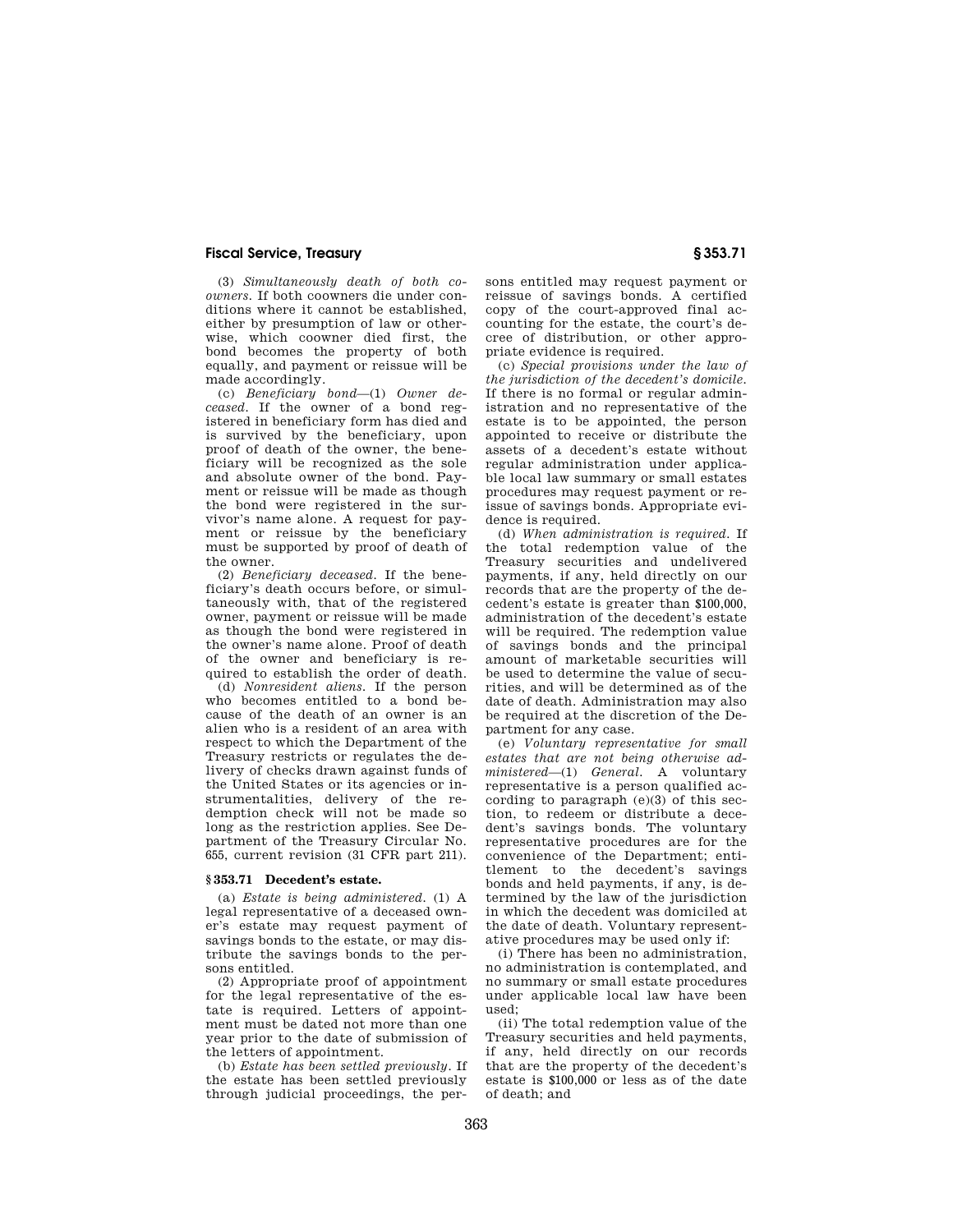(3) *Simultaneously death of both coowners.* If both coowners die under conditions where it cannot be established, either by presumption of law or otherwise, which coowner died first, the bond becomes the property of both equally, and payment or reissue will be made accordingly.

(c) *Beneficiary bond*—(1) *Owner deceased.* If the owner of a bond registered in beneficiary form has died and is survived by the beneficiary, upon proof of death of the owner, the beneficiary will be recognized as the sole and absolute owner of the bond. Payment or reissue will be made as though the bond were registered in the survivor's name alone. A request for payment or reissue by the beneficiary must be supported by proof of death of the owner.

(2) *Beneficiary deceased.* If the beneficiary's death occurs before, or simultaneously with, that of the registered owner, payment or reissue will be made as though the bond were registered in the owner's name alone. Proof of death of the owner and beneficiary is required to establish the order of death.

(d) *Nonresident aliens.* If the person who becomes entitled to a bond because of the death of an owner is an alien who is a resident of an area with respect to which the Department of the Treasury restricts or regulates the delivery of checks drawn against funds of the United States or its agencies or instrumentalities, delivery of the redemption check will not be made so long as the restriction applies. See Department of the Treasury Circular No. 655, current revision (31 CFR part 211).

#### **§ 353.71 Decedent's estate.**

(a) *Estate is being administered.* (1) A legal representative of a deceased owner's estate may request payment of savings bonds to the estate, or may distribute the savings bonds to the persons entitled.

(2) Appropriate proof of appointment for the legal representative of the estate is required. Letters of appointment must be dated not more than one year prior to the date of submission of the letters of appointment.

(b) *Estate has been settled previously.* If the estate has been settled previously through judicial proceedings, the persons entitled may request payment or reissue of savings bonds. A certified copy of the court-approved final accounting for the estate, the court's decree of distribution, or other appropriate evidence is required.

(c) *Special provisions under the law of the jurisdiction of the decedent's domicile.*  If there is no formal or regular administration and no representative of the estate is to be appointed, the person appointed to receive or distribute the assets of a decedent's estate without regular administration under applicable local law summary or small estates procedures may request payment or reissue of savings bonds. Appropriate evidence is required.

(d) *When administration is required.* If the total redemption value of the Treasury securities and undelivered payments, if any, held directly on our records that are the property of the decedent's estate is greater than \$100,000, administration of the decedent's estate will be required. The redemption value of savings bonds and the principal amount of marketable securities will be used to determine the value of securities, and will be determined as of the date of death. Administration may also be required at the discretion of the Department for any case.

(e) *Voluntary representative for small estates that are not being otherwise administered*—(1) *General.* A voluntary representative is a person qualified according to paragraph  $(e)(3)$  of this section, to redeem or distribute a decedent's savings bonds. The voluntary representative procedures are for the convenience of the Department; entitlement to the decedent's savings bonds and held payments, if any, is determined by the law of the jurisdiction in which the decedent was domiciled at the date of death. Voluntary representative procedures may be used only if:

(i) There has been no administration, no administration is contemplated, and no summary or small estate procedures under applicable local law have been used;

(ii) The total redemption value of the Treasury securities and held payments, if any, held directly on our records that are the property of the decedent's estate is \$100,000 or less as of the date of death; and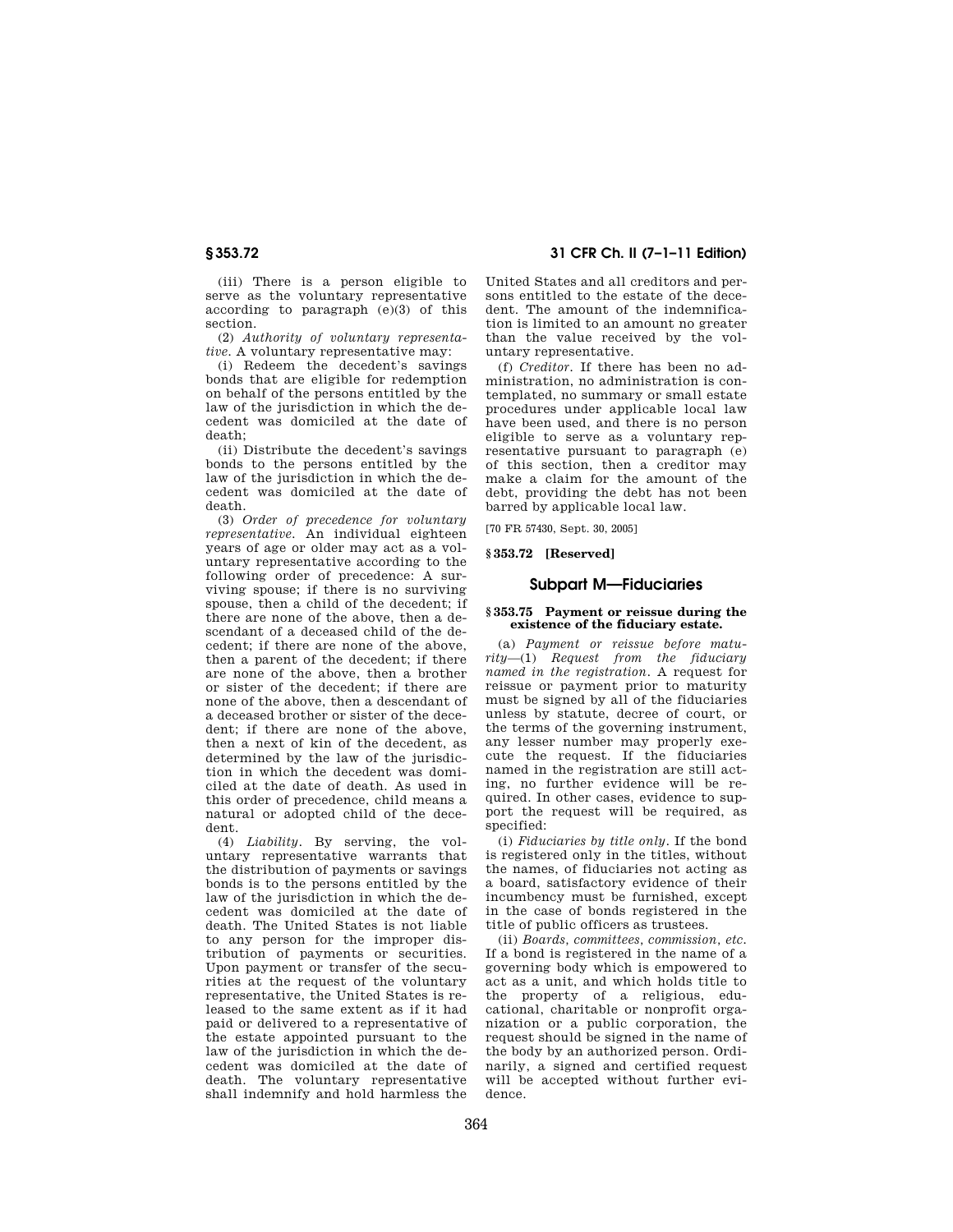(iii) There is a person eligible to serve as the voluntary representative according to paragraph  $(e)(3)$  of this section.

(2) *Authority of voluntary representative.* A voluntary representative may:

(i) Redeem the decedent's savings bonds that are eligible for redemption on behalf of the persons entitled by the law of the jurisdiction in which the decedent was domiciled at the date of death;

(ii) Distribute the decedent's savings bonds to the persons entitled by the law of the jurisdiction in which the decedent was domiciled at the date of death.

(3) *Order of precedence for voluntary representative.* An individual eighteen years of age or older may act as a voluntary representative according to the following order of precedence: A surviving spouse; if there is no surviving spouse, then a child of the decedent; if there are none of the above, then a descendant of a deceased child of the decedent; if there are none of the above, then a parent of the decedent; if there are none of the above, then a brother or sister of the decedent; if there are none of the above, then a descendant of a deceased brother or sister of the decedent; if there are none of the above, then a next of kin of the decedent, as determined by the law of the jurisdiction in which the decedent was domiciled at the date of death. As used in this order of precedence, child means a natural or adopted child of the decedent.

(4) *Liability.* By serving, the voluntary representative warrants that the distribution of payments or savings bonds is to the persons entitled by the law of the jurisdiction in which the decedent was domiciled at the date of death. The United States is not liable to any person for the improper distribution of payments or securities. Upon payment or transfer of the securities at the request of the voluntary representative, the United States is released to the same extent as if it had paid or delivered to a representative of the estate appointed pursuant to the law of the jurisdiction in which the decedent was domiciled at the date of death. The voluntary representative shall indemnify and hold harmless the

**§ 353.72 31 CFR Ch. II (7–1–11 Edition)** 

United States and all creditors and persons entitled to the estate of the decedent. The amount of the indemnification is limited to an amount no greater than the value received by the voluntary representative.

(f) *Creditor.* If there has been no administration, no administration is contemplated, no summary or small estate procedures under applicable local law have been used, and there is no person eligible to serve as a voluntary representative pursuant to paragraph (e) of this section, then a creditor may make a claim for the amount of the debt, providing the debt has not been barred by applicable local law.

[70 FR 57430, Sept. 30, 2005]

**§ 353.72 [Reserved]** 

# **Subpart M—Fiduciaries**

#### **§ 353.75 Payment or reissue during the existence of the fiduciary estate.**

(a) *Payment or reissue before maturity*—(1) *Request from the fiduciary named in the registration.* A request for reissue or payment prior to maturity must be signed by all of the fiduciaries unless by statute, decree of court, or the terms of the governing instrument, any lesser number may properly execute the request. If the fiduciaries named in the registration are still acting, no further evidence will be required. In other cases, evidence to support the request will be required, as specified:

(i) *Fiduciaries by title only.* If the bond is registered only in the titles, without the names, of fiduciaries not acting as a board, satisfactory evidence of their incumbency must be furnished, except in the case of bonds registered in the title of public officers as trustees.

(ii) *Boards, committees, commission, etc.*  If a bond is registered in the name of a governing body which is empowered to act as a unit, and which holds title to the property of a religious, educational, charitable or nonprofit organization or a public corporation, the request should be signed in the name of the body by an authorized person. Ordinarily, a signed and certified request will be accepted without further evidence.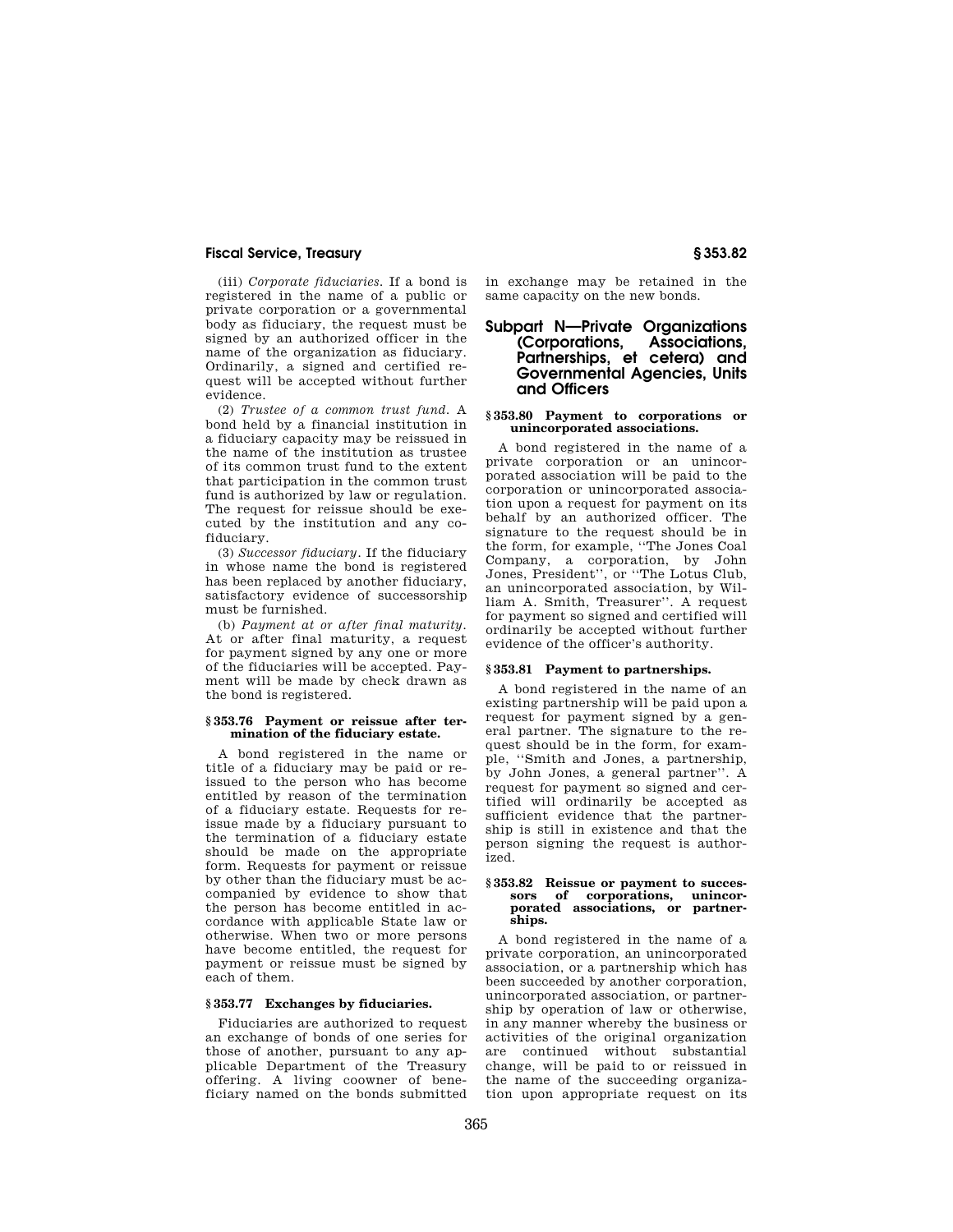(iii) *Corporate fiduciaries.* If a bond is registered in the name of a public or private corporation or a governmental body as fiduciary, the request must be signed by an authorized officer in the name of the organization as fiduciary. Ordinarily, a signed and certified request will be accepted without further evidence.

(2) *Trustee of a common trust fund.* A bond held by a financial institution in a fiduciary capacity may be reissued in the name of the institution as trustee of its common trust fund to the extent that participation in the common trust fund is authorized by law or regulation. The request for reissue should be executed by the institution and any cofiduciary.

(3) *Successor fiduciary.* If the fiduciary in whose name the bond is registered has been replaced by another fiduciary, satisfactory evidence of successorship must be furnished.

(b) *Payment at or after final maturity.*  At or after final maturity, a request for payment signed by any one or more of the fiduciaries will be accepted. Payment will be made by check drawn as the bond is registered.

#### **§ 353.76 Payment or reissue after termination of the fiduciary estate.**

A bond registered in the name or title of a fiduciary may be paid or reissued to the person who has become entitled by reason of the termination of a fiduciary estate. Requests for reissue made by a fiduciary pursuant to the termination of a fiduciary estate should be made on the appropriate form. Requests for payment or reissue by other than the fiduciary must be accompanied by evidence to show that the person has become entitled in accordance with applicable State law or otherwise. When two or more persons have become entitled, the request for payment or reissue must be signed by each of them.

#### **§ 353.77 Exchanges by fiduciaries.**

Fiduciaries are authorized to request an exchange of bonds of one series for those of another, pursuant to any applicable Department of the Treasury offering. A living coowner of beneficiary named on the bonds submitted

in exchange may be retained in the same capacity on the new bonds.

# Subpart N—Private Organizations<br>**Corporations, Associations**, **(Corporations, Associations, Partnerships, et cetera) and Governmental Agencies, Units and Officers**

#### **§ 353.80 Payment to corporations or unincorporated associations.**

A bond registered in the name of a private corporation or an unincorporated association will be paid to the corporation or unincorporated association upon a request for payment on its behalf by an authorized officer. The signature to the request should be in the form, for example, ''The Jones Coal Company, a corporation, by John Jones, President'', or ''The Lotus Club, an unincorporated association, by William A. Smith, Treasurer''. A request for payment so signed and certified will ordinarily be accepted without further evidence of the officer's authority.

## **§ 353.81 Payment to partnerships.**

A bond registered in the name of an existing partnership will be paid upon a request for payment signed by a general partner. The signature to the request should be in the form, for example, ''Smith and Jones, a partnership, by John Jones, a general partner''. A request for payment so signed and certified will ordinarily be accepted as sufficient evidence that the partnership is still in existence and that the person signing the request is authorized.

#### **§ 353.82 Reissue or payment to succes**of corporations, **porated associations, or partnerships.**

A bond registered in the name of a private corporation, an unincorporated association, or a partnership which has been succeeded by another corporation, unincorporated association, or partnership by operation of law or otherwise, in any manner whereby the business or activities of the original organization are continued without substantial change, will be paid to or reissued in the name of the succeeding organization upon appropriate request on its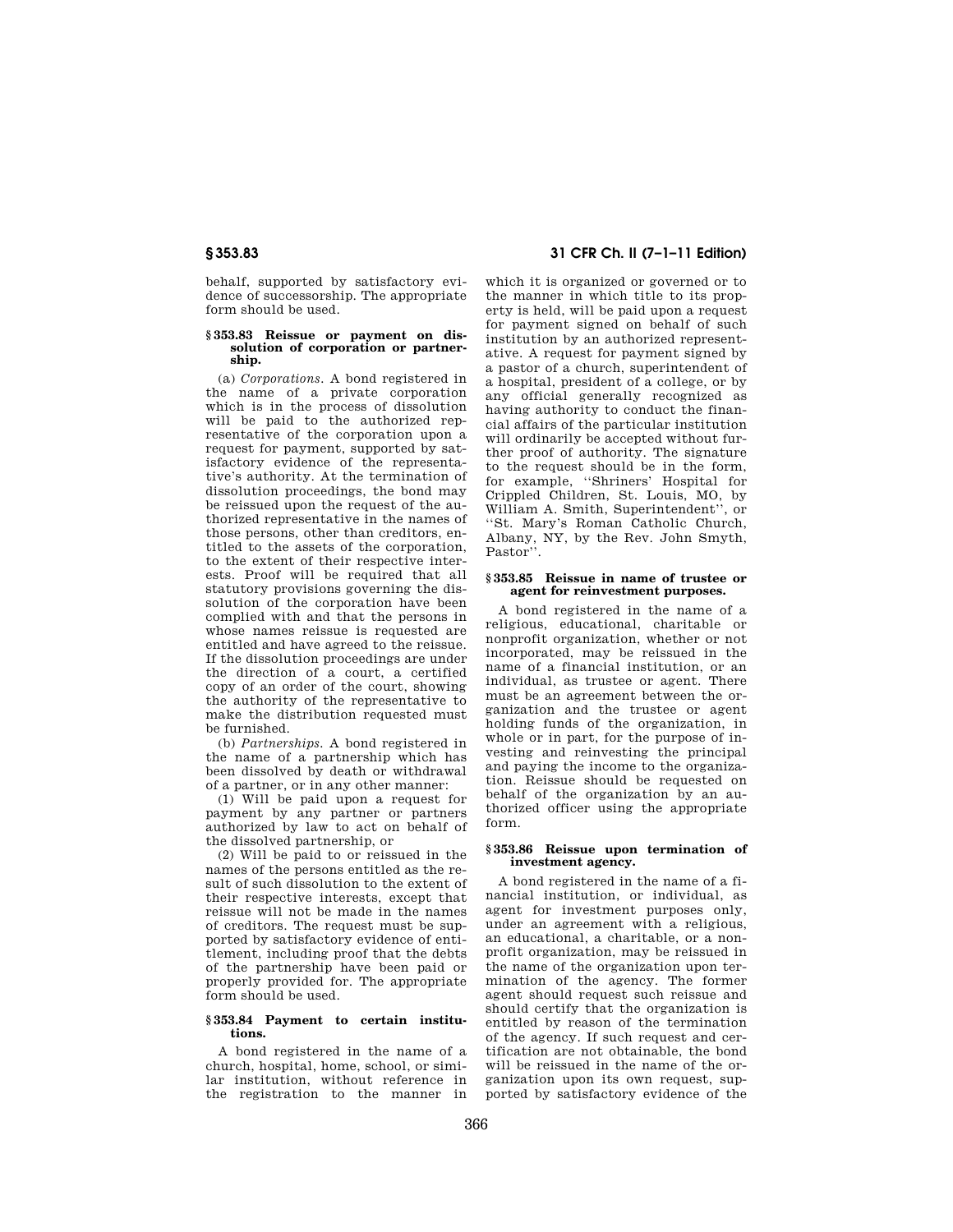behalf, supported by satisfactory evidence of successorship. The appropriate form should be used.

#### **§ 353.83 Reissue or payment on dissolution of corporation or partnership.**

(a) *Corporations.* A bond registered in the name of a private corporation which is in the process of dissolution will be paid to the authorized representative of the corporation upon a request for payment, supported by satisfactory evidence of the representative's authority. At the termination of dissolution proceedings, the bond may be reissued upon the request of the authorized representative in the names of those persons, other than creditors, entitled to the assets of the corporation, to the extent of their respective interests. Proof will be required that all statutory provisions governing the dissolution of the corporation have been complied with and that the persons in whose names reissue is requested are entitled and have agreed to the reissue. If the dissolution proceedings are under the direction of a court, a certified copy of an order of the court, showing the authority of the representative to make the distribution requested must be furnished.

(b) *Partnerships.* A bond registered in the name of a partnership which has been dissolved by death or withdrawal of a partner, or in any other manner:

(1) Will be paid upon a request for payment by any partner or partners authorized by law to act on behalf of the dissolved partnership, or

(2) Will be paid to or reissued in the names of the persons entitled as the result of such dissolution to the extent of their respective interests, except that reissue will not be made in the names of creditors. The request must be supported by satisfactory evidence of entitlement, including proof that the debts of the partnership have been paid or properly provided for. The appropriate form should be used.

#### **§ 353.84 Payment to certain institutions.**

A bond registered in the name of a church, hospital, home, school, or similar institution, without reference in the registration to the manner in

# **§ 353.83 31 CFR Ch. II (7–1–11 Edition)**

which it is organized or governed or to the manner in which title to its property is held, will be paid upon a request for payment signed on behalf of such institution by an authorized representative. A request for payment signed by a pastor of a church, superintendent of a hospital, president of a college, or by any official generally recognized as having authority to conduct the financial affairs of the particular institution will ordinarily be accepted without further proof of authority. The signature to the request should be in the form, for example, ''Shriners' Hospital for Crippled Children, St. Louis, MO, by William A. Smith, Superintendent'', or ''St. Mary's Roman Catholic Church, Albany, NY, by the Rev. John Smyth, Pastor''.

#### **§ 353.85 Reissue in name of trustee or agent for reinvestment purposes.**

A bond registered in the name of a religious, educational, charitable or nonprofit organization, whether or not incorporated, may be reissued in the name of a financial institution, or an individual, as trustee or agent. There must be an agreement between the organization and the trustee or agent holding funds of the organization, in whole or in part, for the purpose of investing and reinvesting the principal and paying the income to the organization. Reissue should be requested on behalf of the organization by an authorized officer using the appropriate form.

#### **§ 353.86 Reissue upon termination of investment agency.**

A bond registered in the name of a financial institution, or individual, as agent for investment purposes only, under an agreement with a religious, an educational, a charitable, or a nonprofit organization, may be reissued in the name of the organization upon termination of the agency. The former agent should request such reissue and should certify that the organization is entitled by reason of the termination of the agency. If such request and certification are not obtainable, the bond will be reissued in the name of the organization upon its own request, supported by satisfactory evidence of the